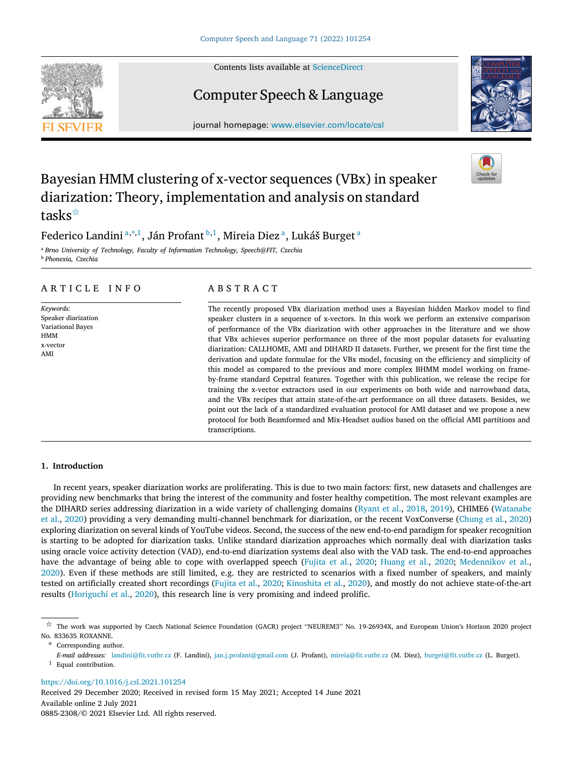Contents lists available at [ScienceDirect](http://www.elsevier.com/locate/csl)

# Computer Speech & Language

journal homepage: [www.elsevier.com/locate/csl](http://www.elsevier.com/locate/csl)

# Bayesian HMM clustering of x-vector sequences (VBx) in speaker diarization: Theory, implementation and analysis on standard tasks<sup>☆</sup>

Federico L[a](#page-0-1)ndini <u>a,\*,[1](#page-0-3)</u>, Ján Profant <sup>[b](#page-0-4),1</sup>, Mireia Diez <sup>a</sup>, Lukáš Burget <sup>a</sup>

<span id="page-0-1"></span><sup>a</sup> *Brno University of Technology, Faculty of Information Technology, Speech@FIT, Czechia*

<span id="page-0-4"></span><sup>b</sup> *Phonexia, Czechia*

# A R T I C L E I N F O

*Keywords:* Speaker diarization Variational Bayes HMM x-vector AMI

# A B S T R A C T

The recently proposed VBx diarization method uses a Bayesian hidden Markov model to find speaker clusters in a sequence of x-vectors. In this work we perform an extensive comparison of performance of the VBx diarization with other approaches in the literature and we show that VBx achieves superior performance on three of the most popular datasets for evaluating diarization: CALLHOME, AMI and DIHARD II datasets. Further, we present for the first time the derivation and update formulae for the VBx model, focusing on the efficiency and simplicity of this model as compared to the previous and more complex BHMM model working on frameby-frame standard Cepstral features. Together with this publication, we release the recipe for training the x-vector extractors used in our experiments on both wide and narrowband data, and the VBx recipes that attain state-of-the-art performance on all three datasets. Besides, we point out the lack of a standardized evaluation protocol for AMI dataset and we propose a new protocol for both Beamformed and Mix-Headset audios based on the official AMI partitions and transcriptions.

## **1. Introduction**

In recent years, speaker diarization works are proliferating. This is due to two main factors: first, new datasets and challenges are providing new benchmarks that bring the interest of the community and foster healthy competition. The most relevant examples are the DIHARD series addressing diarization in a wide variety of challenging domains ([Ryant et al.](#page-15-0), [2018](#page-15-0), [2019](#page-15-1)), CHIME6 [\(Watanabe](#page-15-2) [et al.,](#page-15-2) [2020](#page-15-2)) providing a very demanding multi-channel benchmark for diarization, or the recent VoxConverse [\(Chung et al.,](#page-14-0) [2020](#page-14-0)) exploring diarization on several kinds of YouTube videos. Second, the success of the new end-to-end paradigm for speaker recognition is starting to be adopted for diarization tasks. Unlike standard diarization approaches which normally deal with diarization tasks using oracle voice activity detection (VAD), end-to-end diarization systems deal also with the VAD task. The end-to-end approaches have the advantage of being able to cope with overlapped speech [\(Fujita et al.](#page-14-1), [2020;](#page-14-1) [Huang et al.](#page-14-2), [2020](#page-14-2); [Medennikov et al.](#page-15-3), [2020\)](#page-15-3). Even if these methods are still limited, e.g. they are restricted to scenarios with a fixed number of speakers, and mainly tested on artificially created short recordings [\(Fujita et al.,](#page-14-1) [2020;](#page-14-1) [Kinoshita et al.](#page-14-3), [2020\)](#page-14-3), and mostly do not achieve state-of-the-art results ([Horiguchi et al.](#page-14-4), [2020](#page-14-4)), this research line is very promising and indeed prolific.

Available online 2 July 2021 0885-2308/© 2021 Elsevier Ltd. All rights reserved. Received 29 December 2020; Received in revised form 15 May 2021; Accepted 14 June 2021







<span id="page-0-0"></span><sup>✩</sup> The work was supported by Czech National Science Foundation (GACR) project ''NEUREM3'' No. 19-26934X, and European Union's Horizon 2020 project No. 833635 ROXANNE.

<span id="page-0-2"></span>Corresponding author.

<span id="page-0-3"></span>*E-mail addresses:* [landini@fit.vutbr.cz](mailto:landini@fit.vutbr.cz) (F. Landini), [jan.j.profant@gmail.com](mailto:jan.j.profant@gmail.com) (J. Profant), [mireia@fit.vutbr.cz](mailto:mireia@fit.vutbr.cz) (M. Diez), [burget@fit.vutbr.cz](mailto:burget@fit.vutbr.cz) (L. Burget). Equal contribution.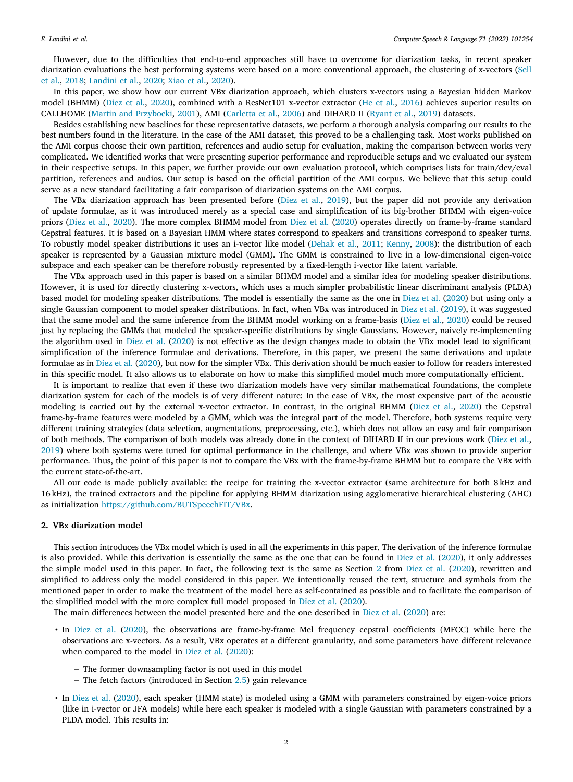However, due to the difficulties that end-to-end approaches still have to overcome for diarization tasks, in recent speaker diarization evaluations the best performing systems were based on a more conventional approach, the clustering of x-vectors ([Sell](#page-15-4) [et al.,](#page-15-4) [2018;](#page-15-4) [Landini et al.,](#page-14-5) [2020;](#page-14-5) [Xiao et al.,](#page-15-5) [2020\)](#page-15-5).

In this paper, we show how our current VBx diarization approach, which clusters x-vectors using a Bayesian hidden Markov model (BHMM) ([Diez et al.,](#page-14-6) [2020](#page-14-6)), combined with a ResNet101 x-vector extractor [\(He et al.,](#page-14-7) [2016\)](#page-14-7) achieves superior results on CALLHOME ([Martin and Przybocki,](#page-14-8) [2001\)](#page-14-8), AMI [\(Carletta et al.,](#page-14-9) [2006\)](#page-14-9) and DIHARD II ([Ryant et al.,](#page-15-1) [2019\)](#page-15-1) datasets.

Besides establishing new baselines for these representative datasets, we perform a thorough analysis comparing our results to the best numbers found in the literature. In the case of the AMI dataset, this proved to be a challenging task. Most works published on the AMI corpus choose their own partition, references and audio setup for evaluation, making the comparison between works very complicated. We identified works that were presenting superior performance and reproducible setups and we evaluated our system in their respective setups. In this paper, we further provide our own evaluation protocol, which comprises lists for train/dev/eval partition, references and audios. Our setup is based on the official partition of the AMI corpus. We believe that this setup could serve as a new standard facilitating a fair comparison of diarization systems on the AMI corpus.

The VBx diarization approach has been presented before ([Diez et al.,](#page-14-10) [2019\)](#page-14-10), but the paper did not provide any derivation of update formulae, as it was introduced merely as a special case and simplification of its big-brother BHMM with eigen-voice priors ([Diez et al.](#page-14-11), [2020\)](#page-14-11). The more complex BHMM model from [Diez et al.](#page-14-11) ([2020\)](#page-14-11) operates directly on frame-by-frame standard Cepstral features. It is based on a Bayesian HMM where states correspond to speakers and transitions correspond to speaker turns. To robustly model speaker distributions it uses an i-vector like model ([Dehak et al.,](#page-14-12) [2011;](#page-14-12) [Kenny,](#page-14-13) [2008\)](#page-14-13): the distribution of each speaker is represented by a Gaussian mixture model (GMM). The GMM is constrained to live in a low-dimensional eigen-voice subspace and each speaker can be therefore robustly represented by a fixed-length i-vector like latent variable.

The VBx approach used in this paper is based on a similar BHMM model and a similar idea for modeling speaker distributions. However, it is used for directly clustering x-vectors, which uses a much simpler probabilistic linear discriminant analysis (PLDA) based model for modeling speaker distributions. The model is essentially the same as the one in [Diez et al.](#page-14-11) ([2020\)](#page-14-11) but using only a single Gaussian component to model speaker distributions. In fact, when VBx was introduced in [Diez et al.](#page-14-10) ([2019\)](#page-14-10), it was suggested that the same model and the same inference from the BHMM model working on a frame-basis ([Diez et al.,](#page-14-11) [2020\)](#page-14-11) could be reused just by replacing the GMMs that modeled the speaker-specific distributions by single Gaussians. However, naively re-implementing the algorithm used in [Diez et al.](#page-14-11) [\(2020](#page-14-11)) is not effective as the design changes made to obtain the VBx model lead to significant simplification of the inference formulae and derivations. Therefore, in this paper, we present the same derivations and update formulae as in [Diez et al.](#page-14-11) ([2020\)](#page-14-11), but now for the simpler VBx. This derivation should be much easier to follow for readers interested in this specific model. It also allows us to elaborate on how to make this simplified model much more computationally efficient.

It is important to realize that even if these two diarization models have very similar mathematical foundations, the complete diarization system for each of the models is of very different nature: In the case of VBx, the most expensive part of the acoustic modeling is carried out by the external x-vector extractor. In contrast, in the original BHMM [\(Diez et al.,](#page-14-11) [2020\)](#page-14-11) the Cepstral frame-by-frame features were modeled by a GMM, which was the integral part of the model. Therefore, both systems require very different training strategies (data selection, augmentations, preprocessing, etc.), which does not allow an easy and fair comparison of both methods. The comparison of both models was already done in the context of DIHARD II in our previous work ([Diez et al.,](#page-14-10) [2019\)](#page-14-10) where both systems were tuned for optimal performance in the challenge, and where VBx was shown to provide superior performance. Thus, the point of this paper is not to compare the VBx with the frame-by-frame BHMM but to compare the VBx with the current state-of-the-art.

All our code is made publicly available: the recipe for training the x-vector extractor (same architecture for both 8 kHz and 16 kHz), the trained extractors and the pipeline for applying BHMM diarization using agglomerative hierarchical clustering (AHC) as initialization [https://github.com/BUTSpeechFIT/VBx.](https://github.com/BUTSpeechFIT/VBx)

#### **2. VBx diarization model**

<span id="page-1-0"></span>This section introduces the VBx model which is used in all the experiments in this paper. The derivation of the inference formulae is also provided. While this derivation is essentially the same as the one that can be found in [Diez et al.](#page-14-11) ([2020\)](#page-14-11), it only addresses the simple model used in this paper. In fact, the following text is the same as Section [2](#page-1-0) from [Diez et al.](#page-14-11) ([2020\)](#page-14-11), rewritten and simplified to address only the model considered in this paper. We intentionally reused the text, structure and symbols from the mentioned paper in order to make the treatment of the model here as self-contained as possible and to facilitate the comparison of the simplified model with the more complex full model proposed in [Diez et al.](#page-14-11) ([2020\)](#page-14-11).

The main differences between the model presented here and the one described in [Diez et al.](#page-14-11) ([2020\)](#page-14-11) are:

- In [Diez et al.](#page-14-11) ([2020\)](#page-14-11), the observations are frame-by-frame Mel frequency cepstral coefficients (MFCC) while here the observations are x-vectors. As a result, VBx operates at a different granularity, and some parameters have different relevance when compared to the model in [Diez et al.](#page-14-11) ([2020\)](#page-14-11):
	- **–** The former downsampling factor is not used in this model
	- **–** The fetch factors (introduced in Section [2.5](#page-4-0)) gain relevance
- In [Diez et al.](#page-14-11) ([2020\)](#page-14-11), each speaker (HMM state) is modeled using a GMM with parameters constrained by eigen-voice priors (like in i-vector or JFA models) while here each speaker is modeled with a single Gaussian with parameters constrained by a PLDA model. This results in: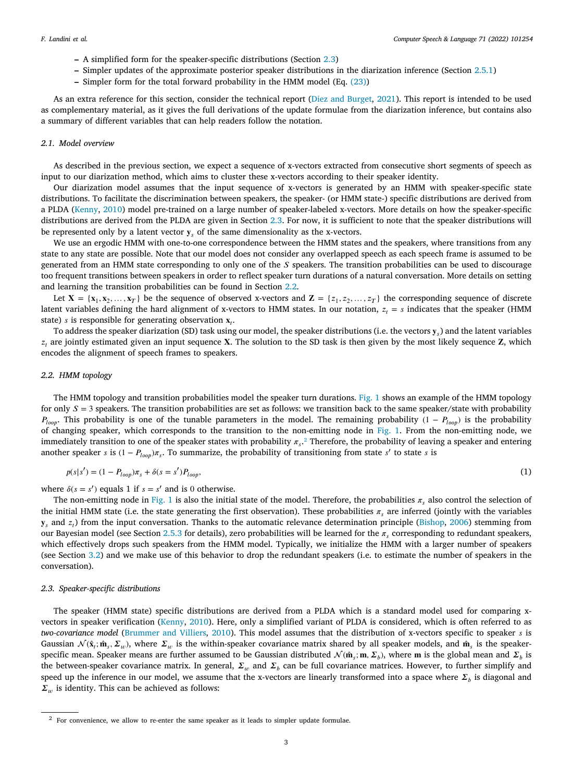- **–** A simplified form for the speaker-specific distributions (Section [2.3\)](#page-2-0)
- **–** Simpler updates of the approximate posterior speaker distributions in the diarization inference (Section [2.5.1\)](#page-5-0)
- **–** Simpler form for the total forward probability in the HMM model (Eq. [\(23](#page-5-1)))

As an extra reference for this section, consider the technical report ([Diez and Burget](#page-14-14), [2021\)](#page-14-14). This report is intended to be used as complementary material, as it gives the full derivations of the update formulae from the diarization inference, but contains also a summary of different variables that can help readers follow the notation.

## *2.1. Model overview*

As described in the previous section, we expect a sequence of x-vectors extracted from consecutive short segments of speech as input to our diarization method, which aims to cluster these x-vectors according to their speaker identity.

Our diarization model assumes that the input sequence of x-vectors is generated by an HMM with speaker-specific state distributions. To facilitate the discrimination between speakers, the speaker- (or HMM state-) specific distributions are derived from a PLDA ([Kenny](#page-14-15), [2010\)](#page-14-15) model pre-trained on a large number of speaker-labeled x-vectors. More details on how the speaker-specific distributions are derived from the PLDA are given in Section [2.3.](#page-2-0) For now, it is sufficient to note that the speaker distributions will be represented only by a latent vector  ${\bf v}_n$  of the same dimensionality as the x-vectors.

We use an ergodic HMM with one-to-one correspondence between the HMM states and the speakers, where transitions from any state to any state are possible. Note that our model does not consider any overlapped speech as each speech frame is assumed to be generated from an HMM state corresponding to only one of the  $S$  speakers. The transition probabilities can be used to discourage too frequent transitions between speakers in order to reflect speaker turn durations of a natural conversation. More details on setting and learning the transition probabilities can be found in Section [2.2.](#page-2-1)

Let  $X = \{x_1, x_2, ..., x_T\}$  be the sequence of observed x-vectors and  $Z = \{z_1, z_2, ..., z_T\}$  the corresponding sequence of discrete latent variables defining the hard alignment of x-vectors to HMM states. In our notation,  $z_t = s$  indicates that the speaker (HMM state) *s* is responsible for generating observation  $\mathbf{x}_t$ .

To address the speaker diarization (SD) task using our model, the speaker distributions (i.e. the vectors  $\mathbf{y}_s$ ) and the latent variables  $z_t$  are jointly estimated given an input sequence **X**. The solution to the SD task is then given by the most likely sequence **Z**, which encodes the alignment of speech frames to speakers.

## *2.2. HMM topology*

<span id="page-2-1"></span>The HMM topology and transition probabilities model the speaker turn durations. [Fig.](#page-3-0) [1](#page-3-0) shows an example of the HMM topology for only  $S = 3$  speakers. The transition probabilities are set as follows: we transition back to the same speaker/state with probability  $P_{loop}$ . This probability is one of the tunable parameters in the model. The remaining probability (1 –  $P_{loop}$ ) is the probability of changing speaker, which corresponds to the transition to the non-emitting node in [Fig.](#page-3-0) [1.](#page-3-0) From the non-emitting node, we immediately transition to one of the speaker states with probability  $\pi_s$ .<sup>[2](#page-2-2)</sup> Therefore, the probability of leaving a speaker and entering another speaker *s* is  $(1 - P_{loop})\pi_s$ . To summarize, the probability of transitioning from state *s'* to state *s* is

<span id="page-2-2"></span>
$$
p(s|s') = (1 - P_{loop})\pi_s + \delta(s = s')P_{loop},
$$
\n(1)

where  $\delta(s = s')$  equals 1 if  $s = s'$  and is 0 otherwise.

The non-emitting node in [Fig.](#page-3-0) [1](#page-3-0) is also the initial state of the model. Therefore, the probabilities  $\pi_s$  also control the selection of the initial HMM state (i.e. the state generating the first observation). These probabilities  $\pi_s$  are inferred (jointly with the variables  $y_s$  and  $z_t$ ) from the input conversation. Thanks to the automatic relevance determination principle ([Bishop](#page-14-16), [2006\)](#page-14-16) stemming from our Bayesian model (see Section [2.5.3](#page-5-2) for details), zero probabilities will be learned for the  $\pi_s$  corresponding to redundant speakers, which effectively drops such speakers from the HMM model. Typically, we initialize the HMM with a larger number of speakers (see Section [3.2](#page-8-0)) and we make use of this behavior to drop the redundant speakers (i.e. to estimate the number of speakers in the conversation).

#### *2.3. Speaker-specific distributions*

<span id="page-2-0"></span>The speaker (HMM state) specific distributions are derived from a PLDA which is a standard model used for comparing xvectors in speaker verification ([Kenny,](#page-14-15) [2010](#page-14-15)). Here, only a simplified variant of PLDA is considered, which is often referred to as *two-covariance model* ([Brummer and Villiers,](#page-14-17) [2010](#page-14-17)). This model assumes that the distribution of x-vectors specific to speaker is Gaussian  $\mathcal{N}(\hat{\mathbf{x}}_t; \hat{\mathbf{m}}_s, \Sigma_w)$ , where  $\Sigma_w$  is the within-speaker covariance matrix shared by all speaker models, and  $\hat{\mathbf{m}}_s$  is the speakerspecific mean. Speaker means are further assumed to be Gaussian distributed  $\mathcal{N}(\hat{\mathbf{m}}_s; \mathbf{m}, \Sigma_b)$ , where **m** is the global mean and  $\Sigma_b$  is the between-speaker covariance matrix. In general,  $\Sigma_w$  and  $\Sigma_b$  can be full covariance matrices. However, to further simplify and speed up the inference in our model, we assume that the x-vectors are linearly transformed into a space where  $\Sigma_b$  is diagonal and  $\Sigma_{\mu}$  is identity. This can be achieved as follows:

<sup>&</sup>lt;sup>2</sup> For convenience, we allow to re-enter the same speaker as it leads to simpler update formulae.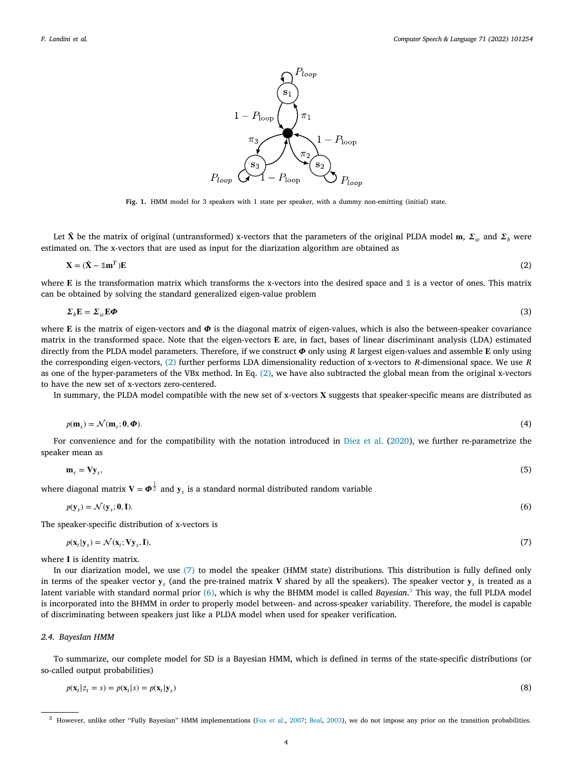<span id="page-3-1"></span>

**Fig. 1.** HMM model for 3 speakers with 1 state per speaker, with a dummy non-emitting (initial) state.

<span id="page-3-0"></span>Let  $\hat{X}$  be the matrix of original (untransformed) x-vectors that the parameters of the original PLDA model m,  $\Sigma_w$  and  $\Sigma_h$  were estimated on. The x-vectors that are used as input for the diarization algorithm are obtained as

$$
\mathbf{X} = (\hat{\mathbf{X}} - \mathbb{1}\mathbf{m}^T)\mathbf{E} \tag{2}
$$

where  $E$  is the transformation matrix which transforms the x-vectors into the desired space and  $1$  is a vector of ones. This matrix can be obtained by solving the standard generalized eigen-value problem

$$
\Sigma_b \mathbf{E} = \Sigma_w \mathbf{E} \boldsymbol{\Phi} \tag{3}
$$

where  $E$  is the matrix of eigen-vectors and  $\Phi$  is the diagonal matrix of eigen-values, which is also the between-speaker covariance matrix in the transformed space. Note that the eigen-vectors  $E$  are, in fact, bases of linear discriminant analysis (LDA) estimated directly from the PLDA model parameters. Therefore, if we construct  $\Phi$  only using R largest eigen-values and assemble E only using the corresponding eigen-vectors,  $(2)$  $(2)$  $(2)$  further performs LDA dimensionality reduction of x-vectors to R-dimensional space. We use R as one of the hyper-parameters of the VBx method. In Eq. [\(2\)](#page-3-1), we have also subtracted the global mean from the original x-vectors to have the new set of x-vectors zero-centered.

In summary, the PLDA model compatible with the new set of x-vectors  $X$  suggests that speaker-specific means are distributed as

$$
p(\mathbf{m}_s) = \mathcal{N}(\mathbf{m}_s; \mathbf{0}, \boldsymbol{\Phi}).
$$
\n(4)

For convenience and for the compatibility with the notation introduced in [Diez et al.](#page-14-11) ([2020\)](#page-14-11), we further re-parametrize the speaker mean as

<span id="page-3-3"></span>
$$
\mathbf{m}_s = \mathbf{V} \mathbf{y}_s,\tag{5}
$$

where diagonal matrix  $V = \boldsymbol{\Phi}^{\frac{1}{2}}$  and  $y_s$  is a standard normal distributed random variable

$$
p(\mathbf{y}_s) = \mathcal{N}(\mathbf{y}_s; \mathbf{0}, \mathbf{I}).
$$
\n<sup>(6)</sup>

The speaker-specific distribution of x-vectors is

<span id="page-3-4"></span><span id="page-3-2"></span>
$$
p(\mathbf{x}_t|\mathbf{y}_s) = \mathcal{N}(\mathbf{x}_t;\mathbf{V}\mathbf{y}_s,\mathbf{I}),\tag{7}
$$

where I is identity matrix.

In our diarization model, we use ([7](#page-3-2)) to model the speaker (HMM state) distributions. This distribution is fully defined only in terms of the speaker vector  $y_s$  (and the pre-trained matrix V shared by all the speakers). The speaker vector  $y_s$  is treated as a latent variable with standard normal prior [\(6\)](#page-3-3), which is why the BHMM model is called *Bayesian*. [3](#page-3-4) This way, the full PLDA model is incorporated into the BHMM in order to properly model between- and across-speaker variability. Therefore, the model is capable of discriminating between speakers just like a PLDA model when used for speaker verification.

## *2.4. BayesIan HMM*

To summarize, our complete model for SD is a Bayesian HMM, which is defined in terms of the state-specific distributions (or so-called output probabilities)

$$
p(\mathbf{x}_t | z_t = s) = p(\mathbf{x}_t | s) = p(\mathbf{x}_t | \mathbf{y}_s)
$$
\n(8)

<sup>&</sup>lt;sup>3</sup> However, unlike other "Fully Bayesian" HMM implementations [\(Fox et al.,](#page-14-18) [2007;](#page-14-18) [Beal](#page-14-19), [2003\)](#page-14-19), we do not impose any prior on the transition probabilities.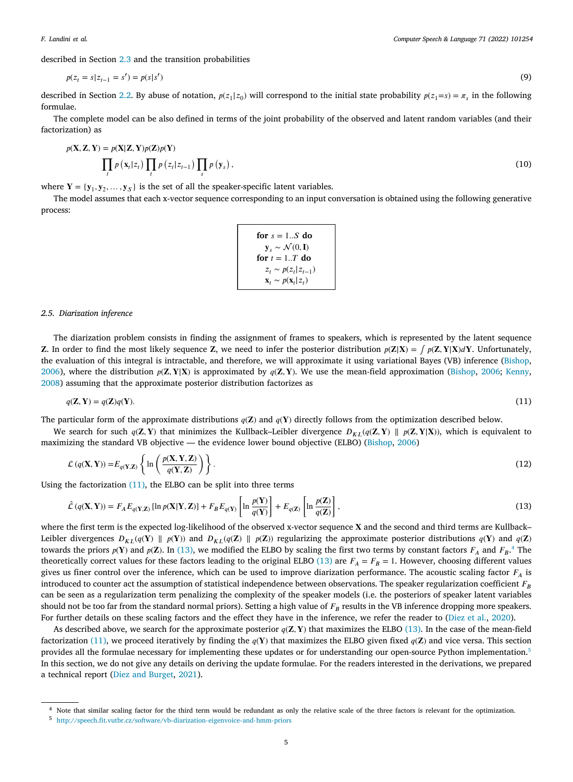*F. Landini et al.*

described in Section [2.3](#page-2-0) and the transition probabilities

$$
p(z_t = s | z_{t-1} = s') = p(s | s')
$$
\n(9)

described in Section [2.2](#page-2-1). By abuse of notation,  $p(z_1|z_0)$  will correspond to the initial state probability  $p(z_1=s) = \pi_s$  in the following formulae.

The complete model can be also defined in terms of the joint probability of the observed and latent random variables (and their factorization) as

$$
p(\mathbf{X}, \mathbf{Z}, \mathbf{Y}) = p(\mathbf{X}|\mathbf{Z}, \mathbf{Y})p(\mathbf{Z})p(\mathbf{Y})
$$
  

$$
\prod_{t} p(\mathbf{x}_t | z_t) \prod_{t} p(z_t | z_{t-1}) \prod_{s} p(\mathbf{y}_s),
$$
 (10)

where  $Y = \{y_1, y_2, \dots, y_S\}$  is the set of all the speaker-specific latent variables.

The model assumes that each x-vector sequence corresponding to an input conversation is obtained using the following generative process:

<span id="page-4-3"></span><span id="page-4-2"></span><span id="page-4-1"></span>

| for $s = 1S$ do                                |  |
|------------------------------------------------|--|
| $\mathbf{y}_s \sim \mathcal{N}(0, \mathbf{I})$ |  |
| for $t = 1 \ldots T$ do                        |  |
| $z_t \sim p(z_t   z_{t-1})$                    |  |
| $\mathbf{x}_t \sim p(\mathbf{x}_t   z_t)$      |  |

#### *2.5. Diarization inference*

<span id="page-4-0"></span>The diarization problem consists in finding the assignment of frames to speakers, which is represented by the latent sequence **Z.** In order to find the most likely sequence **Z**, we need to infer the posterior distribution  $p(Z|X) = \int p(Z, Y|X) dY$ . Unfortunately, the evaluation of this integral is intractable, and therefore, we will approximate it using variational Bayes (VB) inference ([Bishop,](#page-14-16) [2006\)](#page-14-16), where the distribution  $p(\mathbf{Z}, \mathbf{Y} | \mathbf{X})$  is approximated by  $q(\mathbf{Z}, \mathbf{Y})$ . We use the mean-field approximation [\(Bishop,](#page-14-16) [2006](#page-14-16); [Kenny,](#page-14-13) [2008\)](#page-14-13) assuming that the approximate posterior distribution factorizes as

$$
q(\mathbf{Z}, \mathbf{Y}) = q(\mathbf{Z})q(\mathbf{Y}).\tag{11}
$$

The particular form of the approximate distributions  $q(\mathbf{Z})$  and  $q(\mathbf{Y})$  directly follows from the optimization described below.

We search for such  $q(\mathbf{Z}, \mathbf{Y})$  that minimizes the Kullback–Leibler divergence  $D_{KL}(q(\mathbf{Z}, \mathbf{Y}) || p(\mathbf{Z}, \mathbf{Y}|\mathbf{X}))$ , which is equivalent to maximizing the standard VB objective — the evidence lower bound objective (ELBO) ([Bishop,](#page-14-16) [2006\)](#page-14-16)

$$
\mathcal{L}(q(\mathbf{X}, \mathbf{Y})) = E_{q(\mathbf{Y}, \mathbf{Z})} \left\{ \ln \left( \frac{p(\mathbf{X}, \mathbf{Y}, \mathbf{Z})}{q(\mathbf{Y}, \mathbf{Z})} \right) \right\}.
$$
\n(12)

Using the factorization  $(11)$  $(11)$ , the ELBO can be split into three terms

$$
\hat{\mathcal{L}}\left(q(\mathbf{X}, \mathbf{Y})\right) = F_A E_{q(\mathbf{Y}, \mathbf{Z})} \left[ \ln p(\mathbf{X} | \mathbf{Y}, \mathbf{Z}) \right] + F_B E_{q(\mathbf{Y})} \left[ \ln \frac{p(\mathbf{Y})}{q(\mathbf{Y})} \right] + E_{q(\mathbf{Z})} \left[ \ln \frac{p(\mathbf{Z})}{q(\mathbf{Z})} \right],\tag{13}
$$

where the first term is the expected log-likelihood of the observed x-vector sequence X and the second and third terms are Kullback– Leibler divergences  $D_{KI}(q(Y) \parallel p(Y))$  and  $D_{KI}(q(Z) \parallel p(Z))$  regularizing the approximate posterior distributions  $q(Y)$  and  $q(Z)$ towards the priors  $p(Y)$  and  $p(Z)$ . In [\(13](#page-4-2)), we modified the ELBO by scaling the first two terms by constant factors  $F_A$  and  $F_B$ .<sup>[4](#page-4-3)</sup> The theoretically correct values for these factors leading to the original ELBO ([13\)](#page-4-2) are  $F_A = F_B = 1$ . However, choosing different values gives us finer control over the inference, which can be used to improve diarization performance. The acoustic scaling factor  $F_A$  is introduced to counter act the assumption of statistical independence between observations. The speaker regularization coefficient  $F_R$ can be seen as a regularization term penalizing the complexity of the speaker models (i.e. the posteriors of speaker latent variables should not be too far from the standard normal priors). Setting a high value of  $F_R$  results in the VB inference dropping more speakers. For further details on these scaling factors and the effect they have in the inference, we refer the reader to ([Diez et al.](#page-14-11), [2020\)](#page-14-11).

As described above, we search for the approximate posterior  $q(Z, Y)$  that maximizes the ELBO ([13\)](#page-4-2). In the case of the mean-field factorization [\(11](#page-4-1)), we proceed iteratively by finding the  $q(Y)$  that maximizes the ELBO given fixed  $q(Z)$  and vice versa. This section provides all the formulae necessary for implementing these updates or for understanding our open-source Python implementation.<sup>[5](#page-4-4)</sup> In this section, we do not give any details on deriving the update formulae. For the readers interested in the derivations, we prepared a technical report ([Diez and Burget,](#page-14-14) [2021\)](#page-14-14).

<span id="page-4-4"></span><sup>4</sup> Note that similar scaling factor for the third term would be redundant as only the relative scale of the three factors is relevant for the optimization.

<sup>5</sup> <http://speech.fit.vutbr.cz/software/vb-diarization-eigenvoice-and-hmm-priors>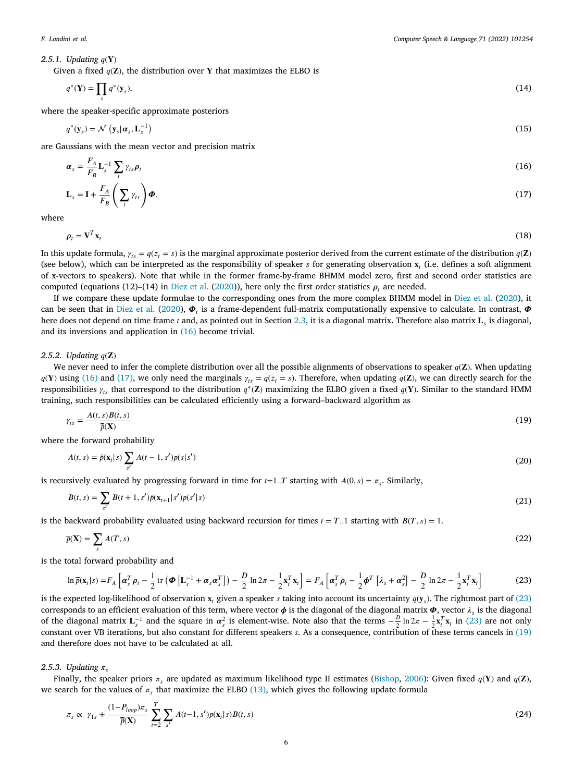*F. Landini et al.*

<span id="page-5-0"></span>2.5.1. Updating  $q(Y)$ 

Given a fixed  $q(\mathbf{Z})$ , the distribution over Y that maximizes the ELBO is

$$
q^*(\mathbf{Y}) = \prod_s q^*(\mathbf{y}_s),\tag{14}
$$

where the speaker-specific approximate posteriors

<span id="page-5-7"></span>
$$
q^*(\mathbf{y}_s) = \mathcal{N}\left(\mathbf{y}_s | \boldsymbol{\alpha}_s, \mathbf{L}_s^{-1}\right) \tag{15}
$$

are Gaussians with the mean vector and precision matrix

<span id="page-5-4"></span><span id="page-5-3"></span>
$$
\boldsymbol{\alpha}_s = \frac{F_A}{F_B} \mathbf{L}_s^{-1} \sum_t \gamma_{ts} \boldsymbol{\rho}_t
$$
\n
$$
\mathbf{L}_s = \mathbf{I} + \frac{F_A}{F_B} \left( \sum_t \gamma_{ts} \right) \boldsymbol{\Phi}.
$$
\n(17)

where

$$
\rho_t = \mathbf{V}^T \mathbf{x}_t \tag{18}
$$

In this update formula,  $\gamma_{ts} = q(z_t = s)$  is the marginal approximate posterior derived from the current estimate of the distribution  $q(\mathbf{Z})$ (see below), which can be interpreted as the responsibility of speaker  $s$  for generating observation  $x_i$  (i.e. defines a soft alignment of x-vectors to speakers). Note that while in the former frame-by-frame BHMM model zero, first and second order statistics are computed (equations (12)–(14) in [Diez et al.](#page-14-11) [\(2020](#page-14-11))), here only the first order statistics  $\rho$ , are needed.

If we compare these update formulae to the corresponding ones from the more complex BHMM model in [Diez et al.](#page-14-11) ([2020\)](#page-14-11), it can be seen that in [Diez et al.](#page-14-11) [\(2020](#page-14-11)),  $\Phi_t$  is a frame-dependent full-matrix computationally expensive to calculate. In contrast,  $\Phi$ here does not depend on time frame 1 and, as pointed out in Section [2.3,](#page-2-0) it is a diagonal matrix. Therefore also matrix  $\bf L_s$  is diagonal, and its inversions and application in ([16\)](#page-5-3) become trivial.

#### 2.5.2. Updating  $q(\mathbf{Z})$

We never need to infer the complete distribution over all the possible alignments of observations to speaker  $q(Z)$ . When updating  $q(Y)$  using [\(16](#page-5-3)) and [\(17](#page-5-4)), we only need the marginals  $\gamma_{ts} = q(z_t = s)$ . Therefore, when updating  $q(Z)$ , we can directly search for the responsibilities  $\gamma_{ts}$  that correspond to the distribution  $q^*(\mathbf{Z})$  maximizing the ELBO given a fixed  $q(\mathbf{Y})$ . Similar to the standard HMM training, such responsibilities can be calculated efficiently using a forward–backward algorithm as

$$
\gamma_{ts} = \frac{A(t, s)B(t, s)}{\overline{p}(\mathbf{X})}
$$
(19)

where the forward probability

<span id="page-5-8"></span><span id="page-5-5"></span>
$$
A(t,s) = \bar{p}(\mathbf{x}_t|s) \sum_{s'} A(t-1,s')p(s|s')
$$
\n(20)

is recursively evaluated by progressing forward in time for  $t=1..T$  starting with  $A(0, s) = \pi_s$ . Similarly,

<span id="page-5-9"></span>
$$
B(t,s) = \sum_{s'} B(t+1,s')\bar{p}(\mathbf{x}_{t+1}|s')p(s'|s)
$$
\n(21)

is the backward probability evaluated using backward recursion for times  $t = T_{n}$ . Starting with  $B(T, s) = 1$ .

<span id="page-5-6"></span>
$$
\overline{p}(\mathbf{X}) = \sum_{s} A(T, s) \tag{22}
$$

is the total forward probability and

<span id="page-5-1"></span>
$$
\ln \overline{\rho}(\mathbf{x}_t|s) = F_A \left[ \alpha_s^T \rho_t - \frac{1}{2} \operatorname{tr} \left( \boldsymbol{\Phi} \left[ \mathbf{L}_s^{-1} + \alpha_s \alpha_s^T \right] \right) - \frac{D}{2} \ln 2\pi - \frac{1}{2} \mathbf{x}_t^T \mathbf{x}_t \right] = F_A \left[ \alpha_s^T \rho_t - \frac{1}{2} \boldsymbol{\phi}^T \left[ \lambda_s + \alpha_s^2 \right] - \frac{D}{2} \ln 2\pi - \frac{1}{2} \mathbf{x}_t^T \mathbf{x}_t \right] \tag{23}
$$

is the expected log-likelihood of observation  $x_i$  given a speaker *s* taking into account its uncertainty  $q(y_s)$ . The rightmost part of [\(23](#page-5-1)) corresponds to an efficient evaluation of this term, where vector  $\phi$  is the diagonal of the diagonal matrix  $\Phi$ , vector  $\lambda_s$  is the diagonal of the diagonal matrix  $L_s^{-1}$  and the square in  $\alpha_s^2$  is element-wise. Note also that the terms  $-\frac{D}{2}\ln 2\pi - \frac{1}{2}x_t^T x_t$  in ([23\)](#page-5-1) are not only constant over VB iterations, but also constant for different speakers . As a consequence, contribution of these terms cancels in [\(19](#page-5-5)) and therefore does not have to be calculated at all.

#### 2.5.3. Updating  $\pi$ .

<span id="page-5-2"></span>Finally, the speaker priors  $\pi_s$  are updated as maximum likelihood type II estimates ([Bishop](#page-14-16), [2006\)](#page-14-16): Given fixed  $q(Y)$  and  $q(Z)$ , we search for the values of  $\pi_s$  that maximize the ELBO ([13\)](#page-4-2), which gives the following update formula

<span id="page-5-10"></span>
$$
\pi_s \propto \gamma_{1s} + \frac{(1 - P_{loop})\pi_s}{\overline{p}(\mathbf{X})} \sum_{t=2}^T \sum_{s'} A(t-1, s') p(\mathbf{x}_t | s) B(t, s)
$$
\n(24)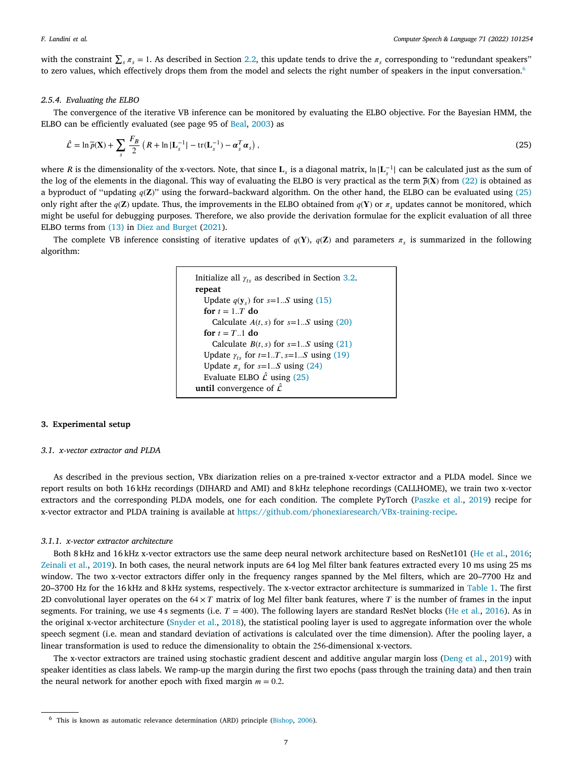with the constraint  $\sum_s \pi_s = 1$ . As described in Section [2.2](#page-2-1), this update tends to drive the  $\pi_s$  corresponding to "redundant speakers" to zero values, which effectively drops them from the model and selects the right number of speakers in the input conversation.<sup>[6](#page-6-0)</sup>

## *2.5.4. Evaluating the ELBO*

The convergence of the iterative VB inference can be monitored by evaluating the ELBO objective. For the Bayesian HMM, the ELBO can be efficiently evaluated (see page 95 of [Beal](#page-14-19), [2003\)](#page-14-19) as

$$
\hat{\mathcal{L}} = \ln \overline{p}(\mathbf{X}) + \sum_{s} \frac{F_B}{2} \left( R + \ln |\mathbf{L}_s^{-1}| - \text{tr}(\mathbf{L}_s^{-1}) - \boldsymbol{\alpha}_s^T \boldsymbol{\alpha}_s \right), \tag{25}
$$

where *R* is the dimensionality of the x-vectors. Note, that since  $L_s$  is a diagonal matrix,  $\ln |L_s^{-1}|$  can be calculated just as the sum of the log of the elements in the diagonal. This way of evaluating the ELBO is very practical as the term  $\bar{p}(X)$  from [\(22](#page-5-6)) is obtained as a byproduct of "updating  $q(\mathbf{Z})$ " using the forward–backward algorithm. On the other hand, the ELBO can be evaluated using ([25\)](#page-6-1) only right after the  $q(\mathbf{Z})$  update. Thus, the improvements in the ELBO obtained from  $q(\mathbf{Y})$  or  $\pi$ , updates cannot be monitored, which might be useful for debugging purposes. Therefore, we also provide the derivation formulae for the explicit evaluation of all three ELBO terms from ([13\)](#page-4-2) in [Diez and Burget](#page-14-14) ([2021\)](#page-14-14).

The complete VB inference consisting of iterative updates of  $q(Y)$ ,  $q(Z)$  and parameters  $\pi_s$  is summarized in the following algorithm:

```
Initialize all \gamma_{ts}3.2.
repeat
  Update q(\mathbf{y}_s) for s=1...S(15)
  for t = 1..T do
    Calculate A(t, s) for s=1..S20)
  for t = T_{1} do
    Calculate B(t, s) for s=1..S21)
  Update \gamma_{ts} for t=1..T, s=1..S(19)
  Update \pi_s for s=1...S(24)
  Evaluate ELBO \hat{\mathcal{L}}25)
until convergence of \hat{\mathcal{L}}
```
## **3. Experimental setup**

#### *3.1. x-vector extractor and PLDA*

As described in the previous section, VBx diarization relies on a pre-trained x-vector extractor and a PLDA model. Since we report results on both 16 kHz recordings (DIHARD and AMI) and 8 kHz telephone recordings (CALLHOME), we train two x-vector extractors and the corresponding PLDA models, one for each condition. The complete PyTorch ([Paszke et al.,](#page-15-6) [2019\)](#page-15-6) recipe for x-vector extractor and PLDA training is available at [https://github.com/phonexiaresearch/VBx-training-recipe.](https://github.com/phonexiaresearch/VBx-training-recipe)

#### *3.1.1. x-vector extractor architecture*

Both 8 kHz and 16 kHz x-vector extractors use the same deep neural network architecture based on ResNet101 ([He et al.,](#page-14-7) [2016;](#page-14-7) [Zeinali et al.](#page-15-7), [2019\)](#page-15-7). In both cases, the neural network inputs are 64 log Mel filter bank features extracted every 10 ms using 25 ms window. The two x-vector extractors differ only in the frequency ranges spanned by the Mel filters, which are 20–7700 Hz and 20–3700 Hz for the 16 kHz and 8 kHz systems, respectively. The x-vector extractor architecture is summarized in [Table](#page-7-0) [1.](#page-7-0) The first 2D convolutional layer operates on the  $64 \times T$  matrix of log Mel filter bank features, where T is the number of frames in the input segments. For training, we use 4s segments (i.e.  $T = 400$ ). The following layers are standard ResNet blocks ([He et al.](#page-14-7), [2016](#page-14-7)). As in the original x-vector architecture [\(Snyder et al.,](#page-15-8) [2018\)](#page-15-8), the statistical pooling layer is used to aggregate information over the whole speech segment (i.e. mean and standard deviation of activations is calculated over the time dimension). After the pooling layer, a linear transformation is used to reduce the dimensionality to obtain the 256-dimensional x-vectors.

The x-vector extractors are trained using stochastic gradient descent and additive angular margin loss ([Deng et al.,](#page-14-20) [2019\)](#page-14-20) with speaker identities as class labels. We ramp-up the margin during the first two epochs (pass through the training data) and then train the neural network for another epoch with fixed margin  $m = 0.2$ .

<sup>6</sup> This is known as automatic relevance determination (ARD) principle [\(Bishop](#page-14-16), [2006](#page-14-16)).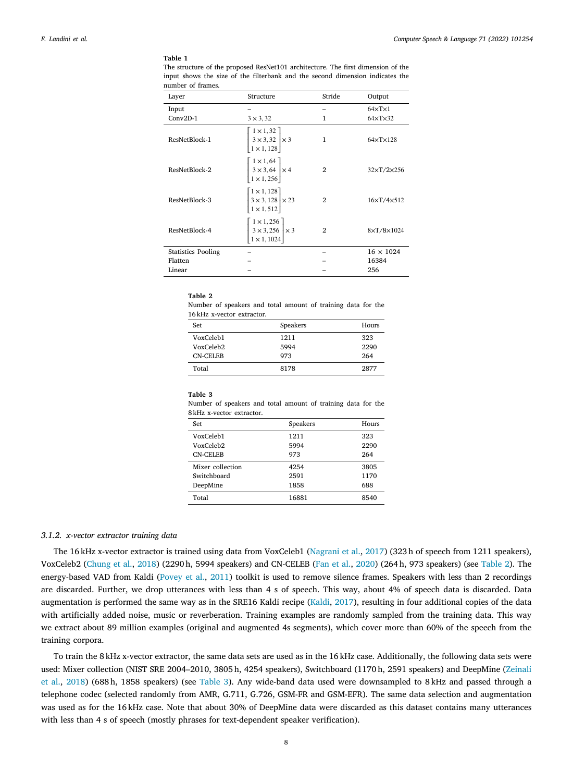#### **Table 1**

<span id="page-7-0"></span>The structure of the proposed ResNet101 architecture. The first dimension of the input shows the size of the filterbank and the second dimension indicates the number of frames.

| Layer                     | Structure                                                                                       | Stride         | Output                   |
|---------------------------|-------------------------------------------------------------------------------------------------|----------------|--------------------------|
| Input                     |                                                                                                 |                | $64 \times T \times 1$   |
| $Conv2D-1$                | $3 \times 3, 32$                                                                                | 1              | $64\times$ T $\times$ 32 |
| ResNetBlock-1             | $\begin{bmatrix} 1 \times 1, 32 \\ 3 \times 3, 32 \\ 1 \times 1, 128 \end{bmatrix} \times 3$    | $\mathbf{1}$   | $64 \times T \times 128$ |
| ResNetBlock-2             | $\begin{bmatrix} 1 \times 1, 64 \\ 3 \times 3, 64 \\ 1 \times 1, 256 \end{bmatrix} \times 4$    | $\mathbf{2}$   | $32\times T/2\times 256$ |
| ResNetBlock-3             | $\begin{bmatrix} 1 \times 1, 128 \\ 3 \times 3, 128 \\ 1 \times 1, 512 \end{bmatrix} \times 23$ | $\overline{2}$ | $16\times T/4\times 512$ |
| ResNetBlock-4             | $\begin{bmatrix} 1 \times 1, 256 \\ 3 \times 3, 256 \\ 1 \times 1, 1024 \end{bmatrix} \times 3$ | $\overline{2}$ | $8\times T/8\times 1024$ |
| <b>Statistics Pooling</b> |                                                                                                 |                | $16 \times 1024$         |
| Flatten                   |                                                                                                 |                | 16384                    |
| Linear                    |                                                                                                 |                | 256                      |

#### <span id="page-7-1"></span>**Table 2**

Number of speakers and total amount of training data for the 16 kHz x-vector extractor.

| Set       | Speakers | Hours |
|-----------|----------|-------|
| VoxCeleb1 | 1211     | 323   |
| VoxCeleb2 | 5994     | 2290  |
| CN-CELEB  | 973      | 264   |
| Total     | 8178     | 2877  |

#### **Table 3**

Number of speakers and total amount of training data for the 8 kHz x-vector extractor.

| Set              | Speakers | Hours |
|------------------|----------|-------|
| VoxCeleb1        | 1211     | 323   |
| VoxCeleb2        | 5994     | 2290  |
| CN-CELEB         | 973      | 264   |
| Mixer collection | 4254     | 3805  |
| Switchboard      | 2591     | 1170  |
| DeepMine         | 1858     | 688   |
| Total            | 16881    | 8540  |

## <span id="page-7-2"></span>*3.1.2. x-vector extractor training data*

The 16 kHz x-vector extractor is trained using data from VoxCeleb1 ([Nagrani et al.,](#page-15-9) [2017\)](#page-15-9) (323 h of speech from 1211 speakers), VoxCeleb2 [\(Chung et al.,](#page-14-21) [2018\)](#page-14-21) (2290 h, 5994 speakers) and CN-CELEB ([Fan et al.](#page-14-22), [2020](#page-14-22)) (264 h, 973 speakers) (see [Table](#page-7-1) [2\)](#page-7-1). The energy-based VAD from Kaldi ([Povey et al.,](#page-15-10) [2011\)](#page-15-10) toolkit is used to remove silence frames. Speakers with less than 2 recordings are discarded. Further, we drop utterances with less than 4 s of speech. This way, about 4% of speech data is discarded. Data augmentation is performed the same way as in the SRE16 Kaldi recipe ([Kaldi](#page-14-23), [2017\)](#page-14-23), resulting in four additional copies of the data with artificially added noise, music or reverberation. Training examples are randomly sampled from the training data. This way we extract about 89 million examples (original and augmented 4s segments), which cover more than 60% of the speech from the training corpora.

To train the 8 kHz x-vector extractor, the same data sets are used as in the 16 kHz case. Additionally, the following data sets were used: Mixer collection (NIST SRE 2004–2010, 3805 h, 4254 speakers), Switchboard (1170 h, 2591 speakers) and DeepMine ([Zeinali](#page-15-11) [et al.,](#page-15-11) [2018\)](#page-15-11) (688 h, 1858 speakers) (see [Table](#page-7-2) [3](#page-7-2)). Any wide-band data used were downsampled to 8 kHz and passed through a telephone codec (selected randomly from AMR, G.711, G.726, GSM-FR and GSM-EFR). The same data selection and augmentation was used as for the 16 kHz case. Note that about 30% of DeepMine data were discarded as this dataset contains many utterances with less than 4 s of speech (mostly phrases for text-dependent speaker verification).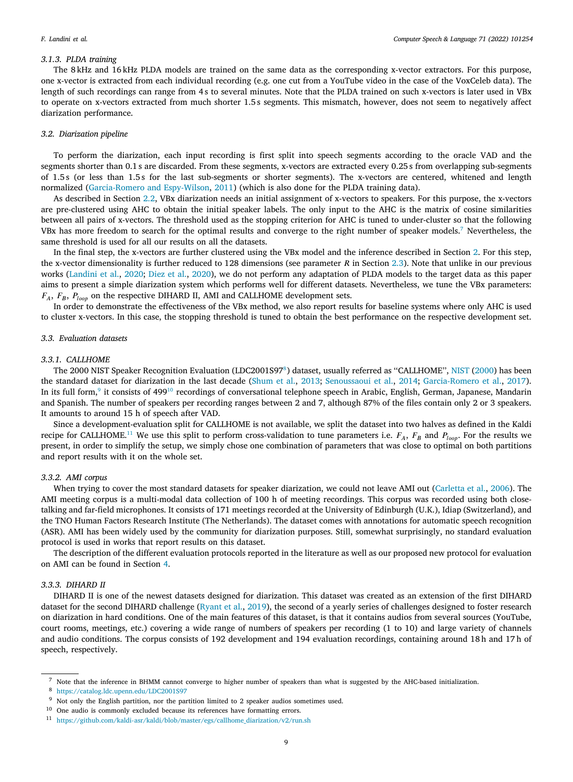#### *3.1.3. PLDA training*

The 8 kHz and 16 kHz PLDA models are trained on the same data as the corresponding x-vector extractors. For this purpose, one x-vector is extracted from each individual recording (e.g. one cut from a YouTube video in the case of the VoxCeleb data). The length of such recordings can range from 4 s to several minutes. Note that the PLDA trained on such x-vectors is later used in VBx to operate on x-vectors extracted from much shorter 1.5 s segments. This mismatch, however, does not seem to negatively affect diarization performance.

#### *3.2. Diarization pipeline*

<span id="page-8-0"></span>To perform the diarization, each input recording is first split into speech segments according to the oracle VAD and the segments shorter than 0.1 s are discarded. From these segments, x-vectors are extracted every 0.25 s from overlapping sub-segments of 1.5 s (or less than 1.5 s for the last sub-segments or shorter segments). The x-vectors are centered, whitened and length normalized [\(Garcia-Romero and Espy-Wilson,](#page-14-24) [2011\)](#page-14-24) (which is also done for the PLDA training data).

As described in Section [2.2](#page-2-1), VBx diarization needs an initial assignment of x-vectors to speakers. For this purpose, the x-vectors are pre-clustered using AHC to obtain the initial speaker labels. The only input to the AHC is the matrix of cosine similarities between all pairs of x-vectors. The threshold used as the stopping criterion for AHC is tuned to under-cluster so that the following VBx has more freedom to search for the optimal results and converge to the right number of speaker models.<sup>[7](#page-8-1)</sup> Nevertheless, the same threshold is used for all our results on all the datasets.

<span id="page-8-1"></span>In the final step, the x-vectors are further clustered using the VBx model and the inference described in Section [2.](#page-1-0) For this step, the x-vector dimensionality is further reduced to 128 dimensions (see parameter  $R$  in Section [2.3\)](#page-2-0). Note that unlike in our previous works ([Landini et al.](#page-14-5), [2020](#page-14-5); [Diez et al.,](#page-14-6) [2020](#page-14-6)), we do not perform any adaptation of PLDA models to the target data as this paper aims to present a simple diarization system which performs well for different datasets. Nevertheless, we tune the VBx parameters:  $F_A$ ,  $F_B$ ,  $P_{loop}$  on the respective DIHARD II, AMI and CALLHOME development sets.

In order to demonstrate the effectiveness of the VBx method, we also report results for baseline systems where only AHC is used to cluster x-vectors. In this case, the stopping threshold is tuned to obtain the best performance on the respective development set.

## *3.3. Evaluation datasets*

## *3.3.1. CALLHOME*

<span id="page-8-4"></span><span id="page-8-3"></span><span id="page-8-2"></span>The 2000 NIST Speaker Recognition Evaluation (LDC2001S97<sup>[8](#page-8-2)</sup>) dataset, usually referred as "CALLHOME", [NIST](#page-15-12) [\(2000](#page-15-12)) has been the standard dataset for diarization in the last decade ([Shum et al.,](#page-15-13) [2013;](#page-15-13) [Senoussaoui et al.,](#page-15-14) [2014;](#page-15-14) [Garcia-Romero et al.,](#page-14-25) [2017\)](#page-14-25). In its full form,<sup>[9](#page-8-3)</sup> it consists of 499<sup>[10](#page-8-4)</sup> recordings of conversational telephone speech in Arabic, English, German, Japanese, Mandarin and Spanish. The number of speakers per recording ranges between 2 and 7, although 87% of the files contain only 2 or 3 speakers. It amounts to around 15 h of speech after VAD.

<span id="page-8-5"></span>Since a development-evaluation split for CALLHOME is not available, we split the dataset into two halves as defined in the Kaldi recipe for CALLHOME.<sup>[11](#page-8-5)</sup> We use this split to perform cross-validation to tune parameters i.e.  $F_A$ ,  $F_B$  and  $P_{loop}$ . For the results we present, in order to simplify the setup, we simply chose one combination of parameters that was close to optimal on both partitions and report results with it on the whole set.

#### *3.3.2. AMI corpus*

When trying to cover the most standard datasets for speaker diarization, we could not leave AMI out ([Carletta et al.,](#page-14-9) [2006\)](#page-14-9). The AMI meeting corpus is a multi-modal data collection of 100 h of meeting recordings. This corpus was recorded using both closetalking and far-field microphones. It consists of 171 meetings recorded at the University of Edinburgh (U.K.), Idiap (Switzerland), and the TNO Human Factors Research Institute (The Netherlands). The dataset comes with annotations for automatic speech recognition (ASR). AMI has been widely used by the community for diarization purposes. Still, somewhat surprisingly, no standard evaluation protocol is used in works that report results on this dataset.

The description of the different evaluation protocols reported in the literature as well as our proposed new protocol for evaluation on AMI can be found in Section [4.](#page-9-0)

## *3.3.3. DIHARD II*

DIHARD II is one of the newest datasets designed for diarization. This dataset was created as an extension of the first DIHARD dataset for the second DIHARD challenge ([Ryant et al.,](#page-15-1) [2019\)](#page-15-1), the second of a yearly series of challenges designed to foster research on diarization in hard conditions. One of the main features of this dataset, is that it contains audios from several sources (YouTube, court rooms, meetings, etc.) covering a wide range of numbers of speakers per recording (1 to 10) and large variety of channels and audio conditions. The corpus consists of 192 development and 194 evaluation recordings, containing around 18 h and 17 h of speech, respectively.

<sup>7</sup> Note that the inference in BHMM cannot converge to higher number of speakers than what is suggested by the AHC-based initialization.

<sup>8</sup> <https://catalog.ldc.upenn.edu/LDC2001S97>

<sup>&</sup>lt;sup>9</sup> Not only the English partition, nor the partition limited to 2 speaker audios sometimes used.

 $^{10}\,$  One audio is commonly excluded because its references have formatting errors.

<sup>11</sup> [https://github.com/kaldi-asr/kaldi/blob/master/egs/callhome\\_diarization/v2/run.sh](https://github.com/kaldi-asr/kaldi/blob/master/egs/callhome_diarization/v2/run.sh)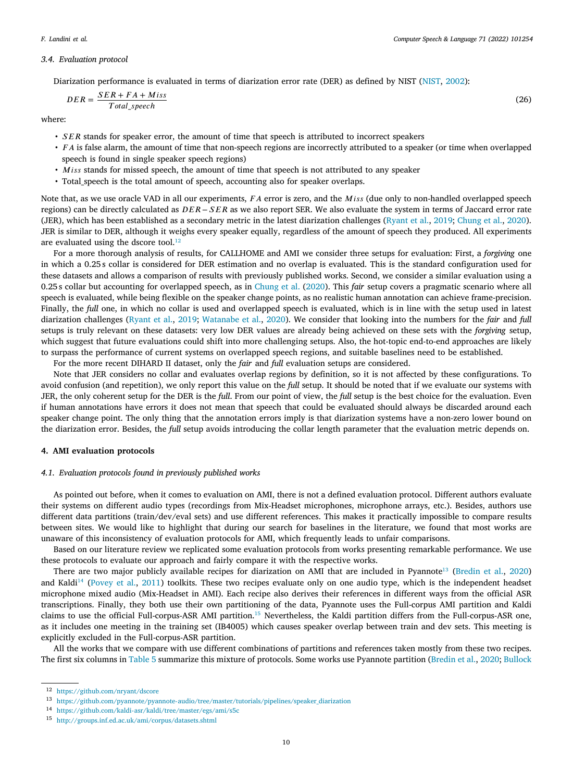(26)

#### *3.4. Evaluation protocol*

<span id="page-9-5"></span>Diarization performance is evaluated in terms of diarization error rate (DER) as defined by NIST [\(NIST,](#page-15-15) [2002\)](#page-15-15):

$$
DER = \frac{SER + FA + Miss}{Total\ speech}
$$

where:

- $\cdot$  SER stands for speaker error, the amount of time that speech is attributed to incorrect speakers
- *FA* is false alarm, the amount of time that non-speech regions are incorrectly attributed to a speaker (or time when overlapped speech is found in single speaker speech regions)
- Miss stands for missed speech, the amount of time that speech is not attributed to any speaker
- Total\_speech is the total amount of speech, accounting also for speaker overlaps.

Note that, as we use oracle VAD in all our experiments, *FA* error is zero, and the *Miss* (due only to non-handled overlapped speech regions) can be directly calculated as  $DER - SER$  as we also report SER. We also evaluate the system in terms of Jaccard error rate (JER), which has been established as a secondary metric in the latest diarization challenges ([Ryant et al.,](#page-15-1) [2019;](#page-15-1) [Chung et al.,](#page-14-0) [2020\)](#page-14-0). JER is similar to DER, although it weighs every speaker equally, regardless of the amount of speech they produced. All experiments are evaluated using the dscore tool. $12$ 

<span id="page-9-1"></span>For a more thorough analysis of results, for CALLHOME and AMI we consider three setups for evaluation: First, a *forgiving* one in which a 0.25 s collar is considered for DER estimation and no overlap is evaluated. This is the standard configuration used for these datasets and allows a comparison of results with previously published works. Second, we consider a similar evaluation using a 0.25 s collar but accounting for overlapped speech, as in [Chung et al.](#page-14-0) ([2020\)](#page-14-0). This *fair* setup covers a pragmatic scenario where all speech is evaluated, while being flexible on the speaker change points, as no realistic human annotation can achieve frame-precision. Finally, the *full* one, in which no collar is used and overlapped speech is evaluated, which is in line with the setup used in latest diarization challenges ([Ryant et al.](#page-15-1), [2019](#page-15-1); [Watanabe et al.](#page-15-2), [2020](#page-15-2)). We consider that looking into the numbers for the *fair* and *full* setups is truly relevant on these datasets: very low DER values are already being achieved on these sets with the *forgiving* setup, which suggest that future evaluations could shift into more challenging setups. Also, the hot-topic end-to-end approaches are likely to surpass the performance of current systems on overlapped speech regions, and suitable baselines need to be established.

For the more recent DIHARD II dataset, only the *fair* and *full* evaluation setups are considered.

Note that JER considers no collar and evaluates overlap regions by definition, so it is not affected by these configurations. To avoid confusion (and repetition), we only report this value on the *full* setup. It should be noted that if we evaluate our systems with JER, the only coherent setup for the DER is the *full*. From our point of view, the *full* setup is the best choice for the evaluation. Even if human annotations have errors it does not mean that speech that could be evaluated should always be discarded around each speaker change point. The only thing that the annotation errors imply is that diarization systems have a non-zero lower bound on the diarization error. Besides, the *full* setup avoids introducing the collar length parameter that the evaluation metric depends on.

#### **4. AMI evaluation protocols**

### <span id="page-9-0"></span>*4.1. Evaluation protocols found in previously published works*

<span id="page-9-6"></span>As pointed out before, when it comes to evaluation on AMI, there is not a defined evaluation protocol. Different authors evaluate their systems on different audio types (recordings from Mix-Headset microphones, microphone arrays, etc.). Besides, authors use different data partitions (train/dev/eval sets) and use different references. This makes it practically impossible to compare results between sites. We would like to highlight that during our search for baselines in the literature, we found that most works are unaware of this inconsistency of evaluation protocols for AMI, which frequently leads to unfair comparisons.

Based on our literature review we replicated some evaluation protocols from works presenting remarkable performance. We use these protocols to evaluate our approach and fairly compare it with the respective works.

<span id="page-9-3"></span><span id="page-9-2"></span>There are two major publicly available recipes for diarization on AMI that are included in Pyannote<sup>[13](#page-9-2)</sup> [\(Bredin et al.,](#page-14-26) [2020](#page-14-26)) and Kaldi<sup>[14](#page-9-3)</sup> [\(Povey et al.](#page-15-10), [2011\)](#page-15-10) toolkits. These two recipes evaluate only on one audio type, which is the independent headset microphone mixed audio (Mix-Headset in AMI). Each recipe also derives their references in different ways from the official ASR transcriptions. Finally, they both use their own partitioning of the data, Pyannote uses the Full-corpus AMI partition and Kaldi claims to use the official Full-corpus-ASR AMI partition.[15](#page-9-4) Nevertheless, the Kaldi partition differs from the Full-corpus-ASR one, as it includes one meeting in the training set (IB4005) which causes speaker overlap between train and dev sets. This meeting is explicitly excluded in the Full-corpus-ASR partition.

<span id="page-9-4"></span>All the works that we compare with use different combinations of partitions and references taken mostly from these two recipes. The first six columns in [Table](#page-12-0) [5](#page-12-0) summarize this mixture of protocols. Some works use Pyannote partition ([Bredin et al.,](#page-14-26) [2020;](#page-14-26) [Bullock](#page-14-27)

<sup>12</sup> [https://github.com/nryant/dscore](#page-14-27)

<sup>13</sup> [https://github.com/pyannote/pyannote-audio/tree/master/tutorials/pipelines/speaker\\_diarization](#page-14-27)

<sup>14</sup> [https://github.com/kaldi-asr/kaldi/tree/master/egs/ami/s5c](#page-14-27)

<sup>15</sup> [http://groups.inf.ed.ac.uk/ami/corpus/datasets.shtml](#page-14-27)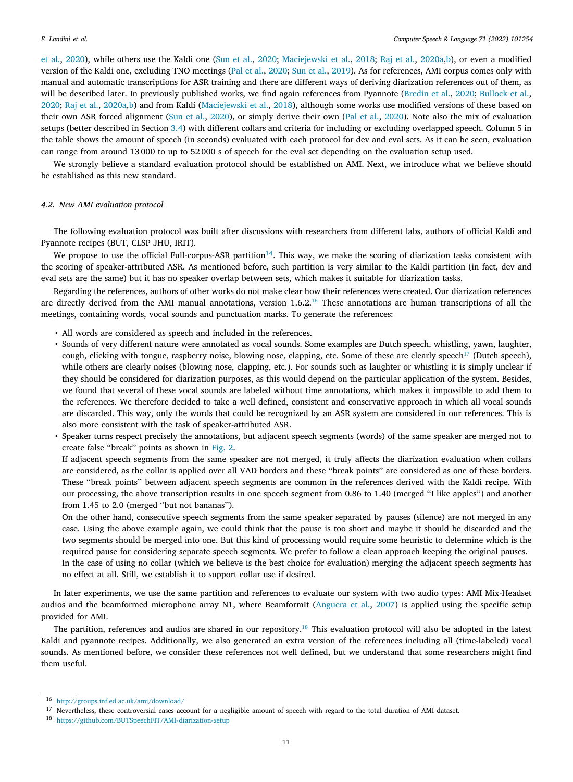[et al.](#page-14-27), [2020\)](#page-14-27), while others use the Kaldi one [\(Sun et al.,](#page-15-16) [2020;](#page-15-16) [Maciejewski et al.,](#page-14-28) [2018](#page-14-28); [Raj et al.](#page-15-17), [2020a,](#page-15-17)[b](#page-15-18)), or even a modified version of the Kaldi one, excluding TNO meetings ([Pal et al.,](#page-15-19) [2020;](#page-15-19) [Sun et al.,](#page-15-20) [2019](#page-15-20)). As for references, AMI corpus comes only with manual and automatic transcriptions for ASR training and there are different ways of deriving diarization references out of them, as will be described later. In previously published works, we find again references from Pyannote ([Bredin et al.,](#page-14-26) [2020;](#page-14-26) [Bullock et al.,](#page-14-27) [2020;](#page-14-27) [Raj et al.,](#page-15-17) [2020a](#page-15-17),[b\)](#page-15-18) and from Kaldi ([Maciejewski et al.](#page-14-28), [2018\)](#page-14-28), although some works use modified versions of these based on their own ASR forced alignment ([Sun et al.,](#page-15-16) [2020\)](#page-15-16), or simply derive their own [\(Pal et al.](#page-15-19), [2020\)](#page-15-19). Note also the mix of evaluation setups (better described in Section [3.4\)](#page-9-5) with different collars and criteria for including or excluding overlapped speech. Column 5 in the table shows the amount of speech (in seconds) evaluated with each protocol for dev and eval sets. As it can be seen, evaluation can range from around 13 000 to up to 52 000 s of speech for the eval set depending on the evaluation setup used.

We strongly believe a standard evaluation protocol should be established on AMI. Next, we introduce what we believe should be established as this new standard.

#### *4.2. New AMI evaluation protocol*

<span id="page-10-2"></span>The following evaluation protocol was built after discussions with researchers from different labs, authors of official Kaldi and Pyannote recipes (BUT, CLSP JHU, IRIT).

We propose to use the official Full-corpus-ASR partition<sup>[14](#page-9-3)</sup>. This way, we make the scoring of diarization tasks consistent with the scoring of speaker-attributed ASR. As mentioned before, such partition is very similar to the Kaldi partition (in fact, dev and eval sets are the same) but it has no speaker overlap between sets, which makes it suitable for diarization tasks.

Regarding the references, authors of other works do not make clear how their references were created. Our diarization references are directly derived from the AMI manual annotations, version 1.6.2.<sup>[16](#page-9-4)</sup> These annotations are human transcriptions of all the meetings, containing words, vocal sounds and punctuation marks. To generate the references:

- <span id="page-10-0"></span>• All words are considered as speech and included in the references.
- <span id="page-10-1"></span>• Sounds of very different nature were annotated as vocal sounds. Some examples are Dutch speech, whistling, yawn, laughter, cough, clicking with tongue, raspberry noise, blowing nose, clapping, etc. Some of these are clearly speech<sup>[17](#page-10-0)</sup> (Dutch speech), while others are clearly noises (blowing nose, clapping, etc.). For sounds such as laughter or whistling it is simply unclear if they should be considered for diarization purposes, as this would depend on the particular application of the system. Besides, we found that several of these vocal sounds are labeled without time annotations, which makes it impossible to add them to the references. We therefore decided to take a well defined, consistent and conservative approach in which all vocal sounds are discarded. This way, only the words that could be recognized by an ASR system are considered in our references. This is also more consistent with the task of speaker-attributed ASR.
- Speaker turns respect precisely the annotations, but adjacent speech segments (words) of the same speaker are merged not to create false ''break'' points as shown in [Fig.](#page-11-0) [2.](#page-11-0)

If adjacent speech segments from the same speaker are not merged, it truly affects the diarization evaluation when collars are considered, as the collar is applied over all VAD borders and these ''break points'' are considered as one of these borders. These ''break points'' between adjacent speech segments are common in the references derived with the Kaldi recipe. With our processing, the above transcription results in one speech segment from 0.86 to 1.40 (merged ''I like apples'') and another from 1.45 to 2.0 (merged ''but not bananas'').

On the other hand, consecutive speech segments from the same speaker separated by pauses (silence) are not merged in any case. Using the above example again, we could think that the pause is too short and maybe it should be discarded and the two segments should be merged into one. But this kind of processing would require some heuristic to determine which is the required pause for considering separate speech segments. We prefer to follow a clean approach keeping the original pauses. In the case of using no collar (which we believe is the best choice for evaluation) merging the adjacent speech segments has no effect at all. Still, we establish it to support collar use if desired.

In later experiments, we use the same partition and references to evaluate our system with two audio types: AMI Mix-Headset audios and the beamformed microphone array N1, where BeamformIt [\(Anguera et al.,](#page-14-29) [2007](#page-14-29)) is applied using the specific setup provided for AMI.

The partition, references and audios are shared in our repository.<sup>[18](#page-10-1)</sup> This evaluation protocol will also be adopted in the latest Kaldi and pyannote recipes. Additionally, we also generated an extra version of the references including all (time-labeled) vocal sounds. As mentioned before, we consider these references not well defined, but we understand that some researchers might find them useful.

<sup>16</sup> <http://groups.inf.ed.ac.uk/ami/download/>

<sup>&</sup>lt;sup>17</sup> Nevertheless, these controversial cases account for a negligible amount of speech with regard to the total duration of AMI dataset.

<sup>18</sup> <https://github.com/BUTSpeechFIT/AMI-diarization-setup>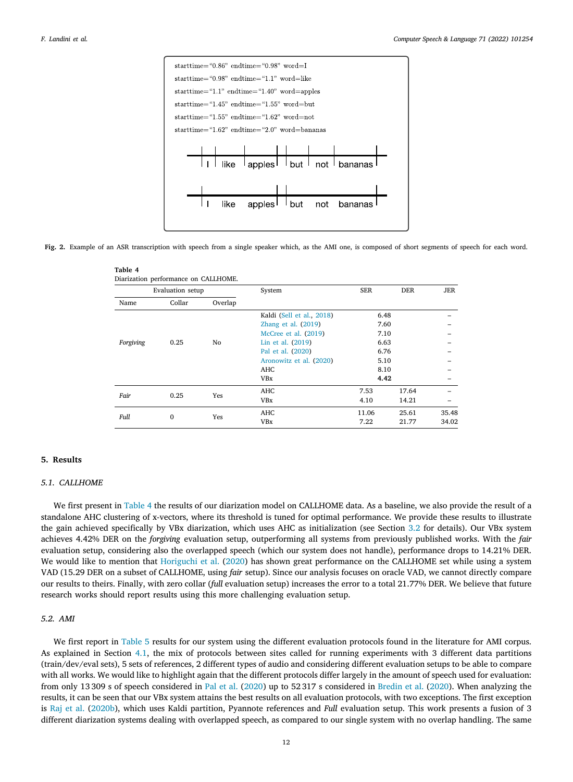

<span id="page-11-1"></span><span id="page-11-0"></span>**Fig. 2.** Example of an ASR transcription with speech from a single speaker which, as the AMI one, is composed of short segments of speech for each word.

|                   | Evaluation setup |                   | System                    | <b>SER</b> | <b>DER</b> | <b>JER</b> |
|-------------------|------------------|-------------------|---------------------------|------------|------------|------------|
| Name              | Collar           | Overlap           |                           |            |            |            |
|                   |                  |                   | Kaldi (Sell et al., 2018) | 6.48       |            |            |
|                   |                  |                   | Zhang et al. $(2019)$     | 7.60       |            |            |
|                   |                  |                   | McCree et al. (2019)      | 7.10       |            |            |
| Forgiving<br>0.25 | No               | Lin et al. (2019) | 6.63                      |            |            |            |
|                   |                  |                   | Pal et al. (2020)         | 6.76       |            |            |
|                   |                  |                   | Aronowitz et al. (2020)   | 5.10       |            |            |
|                   |                  |                   | <b>AHC</b>                | 8.10       |            |            |
|                   |                  |                   | <b>VBx</b>                | 4.42       |            |            |
| Fair              | 0.25             |                   | <b>AHC</b>                | 7.53       | 17.64      |            |
|                   |                  | Yes               | <b>VBx</b>                | 4.10       | 14.21      |            |
|                   |                  |                   | <b>AHC</b>                | 11.06      | 25.61      | 35.48      |
| Full              | $\mathbf{0}$     | Yes               | <b>VBx</b>                | 7.22       | 21.77      | 34.02      |

## **5. Results**

## *5.1. CALLHOME*

We first present in [Table](#page-11-1) [4](#page-11-1) the results of our diarization model on CALLHOME data. As a baseline, we also provide the result of a standalone AHC clustering of x-vectors, where its threshold is tuned for optimal performance. We provide these results to illustrate the gain achieved specifically by VBx diarization, which uses AHC as initialization (see Section [3.2](#page-8-0) for details). Our VBx system achieves 4.42% DER on the *forgiving* evaluation setup, outperforming all systems from previously published works. With the *fair* evaluation setup, considering also the overlapped speech (which our system does not handle), performance drops to 14.21% DER. We would like to mention that [Horiguchi et al.](#page-14-4) ([2020\)](#page-14-4) has shown great performance on the CALLHOME set while using a system VAD (15.29 DER on a subset of CALLHOME, using *fair* setup). Since our analysis focuses on oracle VAD, we cannot directly compare our results to theirs. Finally, with zero collar (*full* evaluation setup) increases the error to a total 21.77% DER. We believe that future research works should report results using this more challenging evaluation setup.

## *5.2. AMI*

We first report in [Table](#page-12-0) [5](#page-12-0) results for our system using the different evaluation protocols found in the literature for AMI corpus. As explained in Section [4.1,](#page-9-6) the mix of protocols between sites called for running experiments with 3 different data partitions (train/dev/eval sets), 5 sets of references, 2 different types of audio and considering different evaluation setups to be able to compare with all works. We would like to highlight again that the different protocols differ largely in the amount of speech used for evaluation: from only 13 309 s of speech considered in [Pal et al.](#page-15-19) ([2020\)](#page-15-19) up to 52 317 s considered in [Bredin et al.](#page-14-26) ([2020\)](#page-14-26). When analyzing the results, it can be seen that our VBx system attains the best results on all evaluation protocols, with two exceptions. The first exception is [Raj et al.](#page-15-18) ([2020b\)](#page-15-18), which uses Kaldi partition, Pyannote references and *Full* evaluation setup. This work presents a fusion of 3 different diarization systems dealing with overlapped speech, as compared to our single system with no overlap handling. The same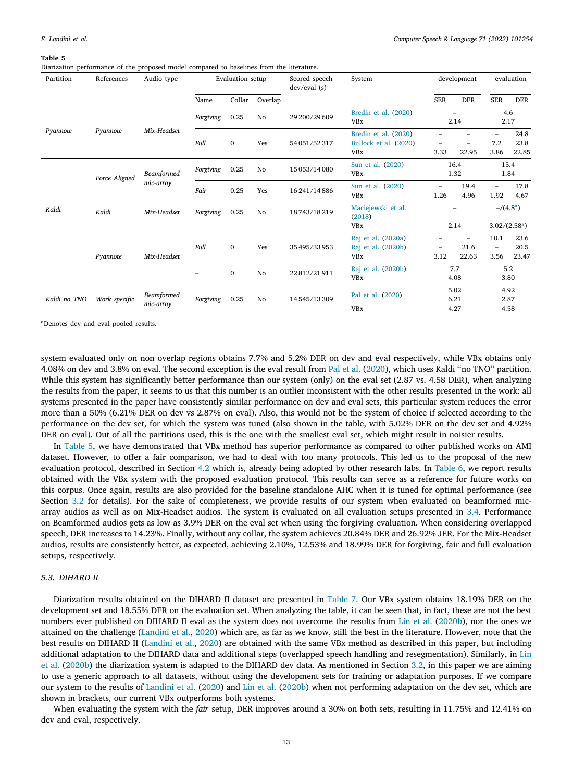#### **Table 5**

<span id="page-12-0"></span>Diarization performance of the proposed model compared to baselines from the literature.

| Partition    | References    | Audio type              | Evaluation setup        |              |                                             | Scored speech<br>System<br>dev/eval(s) |                                                             | development          |                                           | evaluation                               |                           |  |
|--------------|---------------|-------------------------|-------------------------|--------------|---------------------------------------------|----------------------------------------|-------------------------------------------------------------|----------------------|-------------------------------------------|------------------------------------------|---------------------------|--|
|              |               |                         | Name                    | Collar       | Overlap                                     |                                        |                                                             | <b>SER</b>           | <b>DER</b>                                | <b>SER</b>                               | <b>DER</b>                |  |
|              |               |                         | Forgiving               | 0.25         | No                                          | 29 200/29 609                          | Bredin et al. (2020)<br><b>VBx</b>                          |                      | $\overline{\phantom{0}}$<br>2.14          |                                          | 4.6<br>2.17               |  |
| Pyannote     | Pyannote      | Mix-Headset             | Full                    | $\mathbf{0}$ | Yes                                         | 54 051/52 317                          | Bredin et al. (2020)<br>Bullock et al. (2020)<br><b>VBx</b> | 3.33                 | 22.95                                     | $\overline{\phantom{0}}$<br>7.2<br>3.86  | 24.8<br>23.8<br>22.85     |  |
|              | Force Aligned | Beamformed              | Forgiving               | 0.25         | No                                          | 15 053/14 080                          | 16.4<br>Sun et al. (2020)<br><b>VBx</b><br>1.32             |                      |                                           | 15.4<br>1.84                             |                           |  |
|              |               | mic-array               | Fair                    | 0.25         | Yes                                         | 16 241/14 886                          | Sun et al. (2020)<br><b>VBx</b>                             | -<br>1.26            | 19.4<br>4.96                              | $\overline{\phantom{0}}$<br>1.92         | 17.8<br>4.67              |  |
| Kaldi        | Kaldi         | Mix-Headset             | Forgiving<br>0.25<br>No |              | Maciejewski et al.<br>18743/18219<br>(2018) |                                        |                                                             |                      | $-/(4.8^a)$                               |                                          |                           |  |
|              |               |                         |                         |              |                                             |                                        | <b>VBx</b>                                                  |                      | 2.14                                      |                                          | 3.02/(2.58 <sup>a</sup> ) |  |
|              | Pyannote      | Mix-Headset             | Full                    | $\mathbf{0}$ | Yes                                         | 35 495/33 953                          | Raj et al. (2020a)<br>Raj et al. (2020b)<br><b>VBx</b>      | 3.12                 | $\overline{\phantom{a}}$<br>21.6<br>22.63 | 10.1<br>$\overline{\phantom{0}}$<br>3.56 | 23.6<br>20.5<br>23.47     |  |
|              |               |                         |                         | $\bf{0}$     | $\mathbf{N}\mathbf{o}$                      | 22 812/21 911                          | Raj et al. (2020b)<br><b>VBx</b>                            |                      | 7.7<br>4.08                               |                                          | 5.2<br>3.80               |  |
| Kaldi no TNO | Work specific | Beamformed<br>mic-array | Forgiving               | 0.25         | No                                          | 14545/13309                            | Pal et al. (2020)<br><b>VBx</b>                             | 5.02<br>6.21<br>4.27 |                                           | 4.92<br>2.87<br>4.58                     |                           |  |

<span id="page-12-1"></span><sup>a</sup>Denotes dev and eval pooled results.

system evaluated only on non overlap regions obtains 7.7% and 5.2% DER on dev and eval respectively, while VBx obtains only 4.08% on dev and 3.8% on eval. The second exception is the eval result from [Pal et al.](#page-15-19) ([2020\)](#page-15-19), which uses Kaldi ''no TNO'' partition. While this system has significantly better performance than our system (only) on the eval set (2.87 vs. 4.58 DER), when analyzing the results from the paper, it seems to us that this number is an outlier inconsistent with the other results presented in the work: all systems presented in the paper have consistently similar performance on dev and eval sets, this particular system reduces the error more than a 50% (6.21% DER on dev vs 2.87% on eval). Also, this would not be the system of choice if selected according to the performance on the dev set, for which the system was tuned (also shown in the table, with 5.02% DER on the dev set and 4.92% DER on eval). Out of all the partitions used, this is the one with the smallest eval set, which might result in noisier results.

In [Table](#page-12-0) [5](#page-12-0), we have demonstrated that VBx method has superior performance as compared to other published works on AMI dataset. However, to offer a fair comparison, we had to deal with too many protocols. This led us to the proposal of the new evaluation protocol, described in Section [4.2](#page-10-2) which is, already being adopted by other research labs. In [Table](#page-13-0) [6,](#page-13-0) we report results obtained with the VBx system with the proposed evaluation protocol. This results can serve as a reference for future works on this corpus. Once again, results are also provided for the baseline standalone AHC when it is tuned for optimal performance (see Section [3.2](#page-8-0) for details). For the sake of completeness, we provide results of our system when evaluated on beamformed micarray audios as well as on Mix-Headset audios. The system is evaluated on all evaluation setups presented in [3.4.](#page-9-5) Performance on Beamformed audios gets as low as 3.9% DER on the eval set when using the forgiving evaluation. When considering overlapped speech, DER increases to 14.23%. Finally, without any collar, the system achieves 20.84% DER and 26.92% JER. For the Mix-Headset audios, results are consistently better, as expected, achieving 2.10%, 12.53% and 18.99% DER for forgiving, fair and full evaluation setups, respectively.

## *5.3. DIHARD II*

Diarization results obtained on the DIHARD II dataset are presented in [Table](#page-13-1) [7](#page-13-1). Our VBx system obtains 18.19% DER on the development set and 18.55% DER on the evaluation set. When analyzing the table, it can be seen that, in fact, these are not the best numbers ever published on DIHARD II eval as the system does not overcome the results from [Lin et al.](#page-14-33) ([2020b\)](#page-14-33), nor the ones we attained on the challenge [\(Landini et al.,](#page-14-5) [2020\)](#page-14-5) which are, as far as we know, still the best in the literature. However, note that the best results on DIHARD II [\(Landini et al.,](#page-14-5) [2020\)](#page-14-5) are obtained with the same VBx method as described in this paper, but including additional adaptation to the DIHARD data and additional steps (overlapped speech handling and resegmentation). Similarly, in [Lin](#page-14-33) [et al.](#page-14-33) [\(2020b\)](#page-14-33) the diarization system is adapted to the DIHARD dev data. As mentioned in Section [3.2,](#page-8-0) in this paper we are aiming to use a generic approach to all datasets, without using the development sets for training or adaptation purposes. If we compare our system to the results of [Landini et al.](#page-14-5) ([2020\)](#page-14-5) and [Lin et al.](#page-14-33) [\(2020b\)](#page-14-33) when not performing adaptation on the dev set, which are shown in brackets, our current VBx outperforms both systems.

When evaluating the system with the *fair* setup, DER improves around a 30% on both sets, resulting in 11.75% and 12.41% on dev and eval, respectively.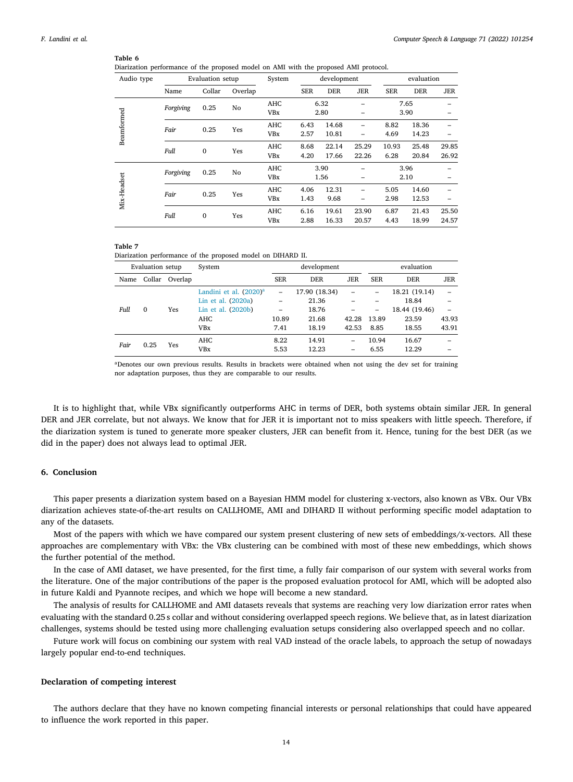## **Table 6**

<span id="page-13-0"></span>Diarization performance of the proposed model on AMI with the proposed AMI protocol.

| Audio type  | Evaluation setup            |              |            | System     | development |            |            | evaluation |            |            |  |
|-------------|-----------------------------|--------------|------------|------------|-------------|------------|------------|------------|------------|------------|--|
|             | Name                        | Collar       | Overlap    |            | <b>SER</b>  | <b>DER</b> | <b>JER</b> | <b>SER</b> | <b>DER</b> | <b>JER</b> |  |
|             |                             | 0.25         |            | <b>AHC</b> |             | 6.32       |            | 7.65       |            |            |  |
|             | Forgiving                   |              | No         | <b>VBx</b> |             | 2.80       | -          |            | 3.90       |            |  |
| Beamformed  | Fair                        | 0.25         | Yes        | <b>AHC</b> | 6.43        | 14.68      | -          | 8.82       | 18.36      |            |  |
|             |                             |              |            | <b>VBx</b> | 2.57        | 10.81      |            | 4.69       | 14.23      |            |  |
|             | Full                        | $\mathbf{0}$ | Yes        | <b>AHC</b> | 8.68        | 22.14      | 25.29      | 10.93      | 25.48      | 29.85      |  |
|             |                             |              |            | <b>VBx</b> | 4.20        | 17.66      | 22.26      | 6.28       | 20.84      | 26.92      |  |
|             | Forgiving                   | 0.25         | No         | <b>AHC</b> |             | 3.90       |            |            | 3.96       |            |  |
| Mix-Headset |                             |              |            | <b>VBx</b> |             | 1.56       | -          |            | 2.10       |            |  |
|             | Fair                        | 0.25         | Yes        | <b>AHC</b> | 4.06        | 12.31      |            | 5.05       | 14.60      |            |  |
|             |                             |              |            | <b>VBx</b> | 1.43        | 9.68       |            | 2.98       | 12.53      |            |  |
|             |                             |              |            | <b>AHC</b> | 6.16        | 19.61      | 23.90      | 6.87       | 21.43      | 25.50      |  |
|             | Full<br>$\mathbf{0}$<br>Yes |              | <b>VBx</b> | 2.88       | 16.33       | 20.57      | 4.43       | 18.99      | 24.57      |            |  |

#### **Table 7**

<span id="page-13-1"></span>Diarization performance of the proposed model on DIHARD II.

|                  | Evaluation setup |                | System                             | development<br>evaluation |               |                          |            |               |                          |
|------------------|------------------|----------------|------------------------------------|---------------------------|---------------|--------------------------|------------|---------------|--------------------------|
| Name             |                  | Collar Overlap |                                    | <b>SER</b>                | <b>DER</b>    | <b>JER</b>               | <b>SER</b> | <b>DER</b>    | <b>JER</b>               |
|                  |                  |                | Landini et al. (2020) <sup>a</sup> |                           | 17.90 (18.34) | $\overline{\phantom{0}}$ | -          | 18.21 (19.14) | -                        |
| Full<br>$\Omega$ |                  |                | Lin et al. (2020a)                 | -                         | 21.36         |                          |            | 18.84         | -                        |
|                  |                  | Yes            | Lin et al. (2020b)                 | $\overline{\phantom{0}}$  | 18.76         |                          | -          | 18.44 (19.46) | $\overline{\phantom{0}}$ |
|                  |                  |                | AHC                                | 10.89                     | 21.68         | 42.28                    | 13.89      | 23.59         | 43.93                    |
|                  |                  |                | <b>VBx</b>                         | 7.41                      | 18.19         | 42.53                    | 8.85       | 18.55         | 43.91                    |
| Fair             | 0.25             | Yes            | AHC                                | 8.22                      | 14.91         | -                        | 10.94      | 16.67         |                          |
|                  |                  |                | <b>VBx</b>                         | 5.53                      | 12.23         | -                        | 6.55       | 12.29         |                          |

<span id="page-13-2"></span><sup>a</sup>Denotes our own previous results. Results in brackets were obtained when not using the dev set for training nor adaptation purposes, thus they are comparable to our results.

It is to highlight that, while VBx significantly outperforms AHC in terms of DER, both systems obtain similar JER. In general DER and JER correlate, but not always. We know that for JER it is important not to miss speakers with little speech. Therefore, if the diarization system is tuned to generate more speaker clusters, JER can benefit from it. Hence, tuning for the best DER (as we did in the paper) does not always lead to optimal JER.

# **6. Conclusion**

This paper presents a diarization system based on a Bayesian HMM model for clustering x-vectors, also known as VBx. Our VBx diarization achieves state-of-the-art results on CALLHOME, AMI and DIHARD II without performing specific model adaptation to any of the datasets.

Most of the papers with which we have compared our system present clustering of new sets of embeddings/x-vectors. All these approaches are complementary with VBx: the VBx clustering can be combined with most of these new embeddings, which shows the further potential of the method.

In the case of AMI dataset, we have presented, for the first time, a fully fair comparison of our system with several works from the literature. One of the major contributions of the paper is the proposed evaluation protocol for AMI, which will be adopted also in future Kaldi and Pyannote recipes, and which we hope will become a new standard.

The analysis of results for CALLHOME and AMI datasets reveals that systems are reaching very low diarization error rates when evaluating with the standard 0.25 s collar and without considering overlapped speech regions. We believe that, as in latest diarization challenges, systems should be tested using more challenging evaluation setups considering also overlapped speech and no collar.

Future work will focus on combining our system with real VAD instead of the oracle labels, to approach the setup of nowadays largely popular end-to-end techniques.

## **Declaration of competing interest**

The authors declare that they have no known competing financial interests or personal relationships that could have appeared to influence the work reported in this paper.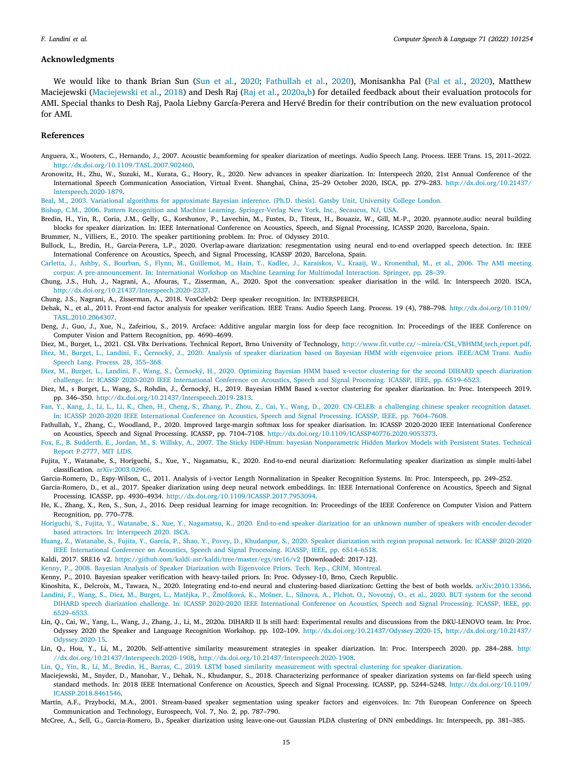#### **Acknowledgments**

We would like to thank Brian Sun [\(Sun et al.,](#page-15-16) [2020;](#page-15-16) [Fathullah et al.](#page-14-35), [2020](#page-14-35)), Monisankha Pal ([Pal et al.,](#page-15-19) [2020\)](#page-15-19), Matthew Maciejewski ([Maciejewski et al.](#page-14-28), [2018\)](#page-14-28) and Desh Raj ([Raj et al.](#page-15-17), [2020a,](#page-15-17)[b\)](#page-15-18) for detailed feedback about their evaluation protocols for AMI. Special thanks to Desh Raj, Paola Liebny García-Perera and Hervé Bredin for their contribution on the new evaluation protocol for AMI.

### **References**

- <span id="page-14-29"></span>Anguera, X., Wooters, C., Hernando, J., 2007. Acoustic beamforming for speaker diarization of meetings. Audio Speech Lang. Process. IEEE Trans. 15, 2011–2022. <http://dx.doi.org/10.1109/TASL.2007.902460>.
- <span id="page-14-32"></span>Aronowitz, H., Zhu, W., Suzuki, M., Kurata, G., Hoory, R., 2020. New advances in speaker diarization. In: Interspeech 2020, 21st Annual Conference of the International Speech Communication Association, Virtual Event. Shanghai, China, 25–29 October 2020, ISCA, pp. 279–283. [http://dx.doi.org/10.21437/](http://dx.doi.org/10.21437/Interspeech.2020-1879) [Interspeech.2020-1879](http://dx.doi.org/10.21437/Interspeech.2020-1879).

<span id="page-14-19"></span>[Beal, M., 2003. Variational algorithms for approximate Bayesian inference. \(Ph.D. thesis\). Gatsby Unit, University College London.](http://refhub.elsevier.com/S0885-2308(21)00061-9/sb3)

<span id="page-14-16"></span>[Bishop, C.M., 2006. Pattern Recognition and Machine Learning. Springer-Verlag New York, Inc., Secaucus, NJ, USA.](http://refhub.elsevier.com/S0885-2308(21)00061-9/sb4)

<span id="page-14-26"></span>Bredin, H., Yin, R., Coria, J.M., Gelly, G., Korshunov, P., Lavechin, M., Fustes, D., Titeux, H., Bouaziz, W., Gill, M.-P., 2020. pyannote.audio: neural building blocks for speaker diarization. In: IEEE International Conference on Acoustics, Speech, and Signal Processing, ICASSP 2020, Barcelona, Spain.

<span id="page-14-17"></span>Brummer, N., Villiers, E., 2010. The speaker partitioning problem. In: Proc. of Odyssey 2010.

- <span id="page-14-27"></span>Bullock, L., Bredin, H., Garcia-Perera, L.P., 2020. Overlap-aware diarization: resegmentation using neural end-to-end overlapped speech detection. In: IEEE International Conference on Acoustics, Speech, and Signal Processing, ICASSP 2020, Barcelona, Spain.
- <span id="page-14-9"></span>[Carletta, J., Ashby, S., Bourban, S., Flynn, M., Guillemot, M., Hain, T., Kadlec, J., Karaiskos, V., Kraaij, W., Kronenthal, M., et al., 2006. The AMI meeting](http://refhub.elsevier.com/S0885-2308(21)00061-9/sb8) [corpus: A pre-announcement. In: International Workshop on Machine Learning for Multimodal Interaction. Springer, pp. 28–39.](http://refhub.elsevier.com/S0885-2308(21)00061-9/sb8)
- <span id="page-14-0"></span>Chung, J.S., Huh, J., Nagrani, A., Afouras, T., Zisserman, A., 2020. Spot the conversation: speaker diarisation in the wild. In: Interspeech 2020. ISCA, [http://dx.doi.org/10.21437/Interspeech.2020-2337.](http://dx.doi.org/10.21437/Interspeech.2020-2337)
- <span id="page-14-21"></span>Chung, J.S., Nagrani, A., Zisserman, A., 2018. VoxCeleb2: Deep speaker recognition. In: INTERSPEECH.
- <span id="page-14-12"></span>Dehak, N., et al., 2011. Front-end factor analysis for speaker verification. IEEE Trans. Audio Speech Lang. Process. 19 (4), 788–798. [http://dx.doi.org/10.1109/](http://dx.doi.org/10.1109/TASL.2010.2064307) [TASL.2010.2064307.](http://dx.doi.org/10.1109/TASL.2010.2064307)
- <span id="page-14-20"></span>Deng, J., Guo, J., Xue, N., Zafeiriou, S., 2019. Arcface: Additive angular margin loss for deep face recognition. In: Proceedings of the IEEE Conference on Computer Vision and Pattern Recognition, pp. 4690–4699.
- <span id="page-14-14"></span>Diez, M., Burget, L., 2021. CSL VBx Derivations. Technical Report, Brno University of Technology, [http://www.fit.vutbr.cz/~mireia/CSL\\_VBHMM\\_tech\\_report.pdf](http://www.fit.vutbr.cz/~mireia/CSL_VBHMM_tech_report.pdf).
- <span id="page-14-11"></span>[Diez, M., Burget, L., Landini, F., Černocký, J., 2020. Analysis of speaker diarization based on Bayesian HMM with eigenvoice priors. IEEE/ACM Trans. Audio](http://refhub.elsevier.com/S0885-2308(21)00061-9/sb14) [Speech Lang. Process. 28, 355–368.](http://refhub.elsevier.com/S0885-2308(21)00061-9/sb14)
- <span id="page-14-6"></span>[Diez, M., Burget, L., Landini, F., Wang, S., Černocký, H., 2020. Optimizing Bayesian HMM based x-vector clustering for the second DIHARD speech diarization](http://refhub.elsevier.com/S0885-2308(21)00061-9/sb15) [challenge. In: ICASSP 2020-2020 IEEE International Conference on Acoustics, Speech and Signal Processing. ICASSP, IEEE, pp. 6519–6523.](http://refhub.elsevier.com/S0885-2308(21)00061-9/sb15)
- <span id="page-14-10"></span>Diez, M., s Burget, L., Wang, S., Rohdin, J., Černocký, H., 2019. Bayesian HMM Based x-vector clustering for speaker diarization. In: Proc. Interspeech 2019. pp. 346–350. [http://dx.doi.org/10.21437/Interspeech.2019-2813.](http://dx.doi.org/10.21437/Interspeech.2019-2813)
- <span id="page-14-22"></span>[Fan, Y., Kang, J., Li, L., Li, K., Chen, H., Cheng, S., Zhang, P., Zhou, Z., Cai, Y., Wang, D., 2020. CN-CELEB: a challenging chinese speaker recognition dataset.](http://refhub.elsevier.com/S0885-2308(21)00061-9/sb17) [In: ICASSP 2020-2020 IEEE International Conference on Acoustics, Speech and Signal Processing. ICASSP, IEEE, pp. 7604–7608.](http://refhub.elsevier.com/S0885-2308(21)00061-9/sb17)
- <span id="page-14-35"></span>Fathullah, Y., Zhang, C., Woodland, P., 2020. Improved large-margin softmax loss for speaker diarisation. In: ICASSP 2020-2020 IEEE International Conference on Acoustics, Speech and Signal Processing. ICASSP, pp. 7104–7108. [http://dx.doi.org/10.1109/ICASSP40776.2020.9053373.](http://dx.doi.org/10.1109/ICASSP40776.2020.9053373)
- <span id="page-14-18"></span>[Fox, E., B. Sudderth, E., Jordan, M., S. Willsky, A., 2007. The Sticky HDP-Hmm: bayesian Nonparametric Hidden Markov Models with Persistent States. Technical](http://refhub.elsevier.com/S0885-2308(21)00061-9/sb19) [Report P-2777, MIT LIDS.](http://refhub.elsevier.com/S0885-2308(21)00061-9/sb19)
- <span id="page-14-1"></span>Fujita, Y., Watanabe, S., Horiguchi, S., Xue, Y., Nagamatsu, K., 2020. End-to-end neural diarization: Reformulating speaker diarization as simple multi-label classification. [arXiv:2003.02966.](http://arxiv.org/abs/2003.02966)
- <span id="page-14-24"></span>Garcia-Romero, D., Espy-Wilson, C., 2011. Analysis of i-vector Length Normalization in Speaker Recognition Systems. In: Proc. Interspeech, pp. 249–252.
- <span id="page-14-25"></span>Garcia-Romero, D., et al., 2017. Speaker diarization using deep neural network embeddings. In: IEEE International Conference on Acoustics, Speech and Signal Processing. ICASSP, pp. 4930–4934. [http://dx.doi.org/10.1109/ICASSP.2017.7953094.](http://dx.doi.org/10.1109/ICASSP.2017.7953094)
- <span id="page-14-7"></span>He, K., Zhang, X., Ren, S., Sun, J., 2016. Deep residual learning for image recognition. In: Proceedings of the IEEE Conference on Computer Vision and Pattern Recognition, pp. 770–778.
- <span id="page-14-4"></span>[Horiguchi, S., Fujita, Y., Watanabe, S., Xue, Y., Nagamatsu, K., 2020. End-to-end speaker diarization for an unknown number of speakers with encoder-decoder](http://refhub.elsevier.com/S0885-2308(21)00061-9/sb24) [based attractors. In: Interspeech 2020. ISCA.](http://refhub.elsevier.com/S0885-2308(21)00061-9/sb24)
- <span id="page-14-2"></span>[Huang, Z., Watanabe, S., Fujita, Y., García, P., Shao, Y., Povey, D., Khudanpur, S., 2020. Speaker diarization with region proposal network. In: ICASSP 2020-2020](http://refhub.elsevier.com/S0885-2308(21)00061-9/sb25) [IEEE International Conference on Acoustics, Speech and Signal Processing. ICASSP, IEEE, pp. 6514–6518.](http://refhub.elsevier.com/S0885-2308(21)00061-9/sb25)
- <span id="page-14-23"></span>Kaldi, 2017. SRE16 v2. <https://github.com/kaldi-asr/kaldi/tree/master/egs/sre16/v2> [Downloaded: 2017-12].
- <span id="page-14-13"></span>[Kenny, P., 2008. Bayesian Analysis of Speaker Diarization with Eigenvoice Priors. Tech. Rep., CRIM, Montreal.](http://refhub.elsevier.com/S0885-2308(21)00061-9/sb27)
- <span id="page-14-15"></span>Kenny, P., 2010. Bayesian speaker verification with heavy-tailed priors. In: Proc. Odyssey-10, Brno, Czech Republic.
- <span id="page-14-5"></span><span id="page-14-3"></span>Kinoshita, K., Delcroix, M., Tawara, N., 2020. Integrating end-to-end neural and clustering-based diarization: Getting the best of both worlds. [arXiv:2010.13366.](http://arxiv.org/abs/2010.13366) [Landini, F., Wang, S., Diez, M., Burget, L., Matějka, P., Žmolíková, K., Mošner, L., Silnova, A., Plchot, O., Novotný, O., et al., 2020. BUT system for the second](http://refhub.elsevier.com/S0885-2308(21)00061-9/sb30) [DIHARD speech diarization challenge. In: ICASSP 2020-2020 IEEE International Conference on Acoustics, Speech and Signal Processing. ICASSP, IEEE, pp.](http://refhub.elsevier.com/S0885-2308(21)00061-9/sb30)
- <span id="page-14-34"></span>[6529–6533.](http://refhub.elsevier.com/S0885-2308(21)00061-9/sb30) Lin, Q., Cai, W., Yang, L., Wang, J., Zhang, J., Li, M., 2020a. DIHARD II Is still hard: Experimental results and discussions from the DKU-LENOVO team. In: Proc. Odyssey 2020 the Speaker and Language Recognition Workshop. pp. 102–109. [http://dx.doi.org/10.21437/Odyssey.2020-15,](http://dx.doi.org/10.21437/Odyssey.2020-15) [http://dx.doi.org/10.21437/](http://dx.doi.org/10.21437/Odyssey.2020-15)
- <span id="page-14-33"></span>[Odyssey.2020-15.](http://dx.doi.org/10.21437/Odyssey.2020-15) Lin, Q., Hou, Y., Li, M., 2020b. Self-attentive similarity measurement strategies in speaker diarization. In: Proc. Interspeech 2020. pp. 284–288. [http:](http://dx.doi.org/10.21437/Interspeech.2020-1908) [//dx.doi.org/10.21437/Interspeech.2020-1908,](http://dx.doi.org/10.21437/Interspeech.2020-1908) [http://dx.doi.org/10.21437/Interspeech.2020-1908.](http://dx.doi.org/10.21437/Interspeech.2020-1908)
- <span id="page-14-31"></span>[Lin, Q., Yin, R., Li, M., Bredin, H., Barras, C., 2019. LSTM based similarity measurement with spectral clustering for speaker diarization.](http://refhub.elsevier.com/S0885-2308(21)00061-9/sb33)
- <span id="page-14-28"></span>Maciejewski, M., Snyder, D., Manohar, V., Dehak, N., Khudanpur, S., 2018. Characterizing performance of speaker diarization systems on far-field speech using standard methods. In: 2018 IEEE International Conference on Acoustics, Speech and Signal Processing. ICASSP, pp. 5244–5248. [http://dx.doi.org/10.1109/](http://dx.doi.org/10.1109/ICASSP.2018.8461546) [ICASSP.2018.8461546.](http://dx.doi.org/10.1109/ICASSP.2018.8461546)
- <span id="page-14-8"></span>Martin, A.F., Przybocki, M.A., 2001. Stream-based speaker segmentation using speaker factors and eigenvoices. In: 7th European Conference on Speech Communication and Technology, Eurospeech, Vol. 7, No. 2, pp. 787–790.
- <span id="page-14-30"></span>McCree, A., Sell, G., Garcia-Romero, D., Speaker diarization using leave-one-out Gaussian PLDA clustering of DNN embeddings. In: Interspeech, pp. 381–385.